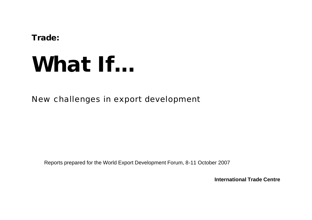**Trade:**

# **What If...**

New challenges in export development

Reports prepared for the World Export Development Forum, 8-11 October 2007

**International Trade Centre**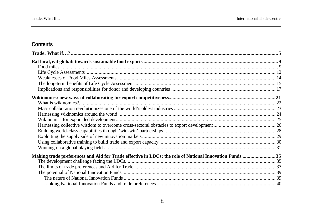# Contents

| Making trade preferences and Aid for Trade effective in LDCs: the role of National Innovation Funds 35 |  |
|--------------------------------------------------------------------------------------------------------|--|
|                                                                                                        |  |
|                                                                                                        |  |
|                                                                                                        |  |
|                                                                                                        |  |
|                                                                                                        |  |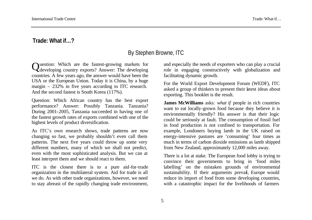## **Trade: What if…?**

# By Stephen Browne, ITC

Question: Which are the fastest-growing markets for developing country exports? Answer: The developing developing country exports? Answer: The developing countries. A few years ago, the answer would have been the USA or the European Union. Today it is China, by a huge margin – 232% in five years according to ITC research. And the second fastest is South Korea (117%).

Question: Which African country has the best export performance? Answer: Possibly Tanzania. Tanzania? During 2001-2005, Tanzania succeeded in having one of the fastest growth rates of exports combined with one of the highest levels of product diversification.

As ITC's own research shows, trade patterns are now changing so fast, we probably shouldn't even call them patterns. The next five years could throw up some very different numbers, many of which we shall not predict, even with the most sophisticated analysis. But we can at least interpret them and we should react to them.

ITC is the closest there is to a pure aid-for-trade organization in the multilateral system. Aid for trade is all we do. As with other trade organizations, however, we need to stay abreast of the rapidly changing trade environment,

and especially the needs of exporters who can play a crucial role in engaging constructively with globalization and facilitating dynamic growth.

For the World Export Development Forum (WEDF), ITC asked a group of thinkers to present their latest ideas about exporting. This booklet is the result.

**James McWilliams** asks: *what if* people in rich countries want to eat locally-grown food because they believe it is environmentally friendly? His answer is that their logic could be seriously at fault. The consumption of fossil fuel in food production is not confined to transportation. For example, Londoners buying lamb in the UK raised on energy-intensive pastures are 'consuming' four times as much in terms of carbon dioxide emissions as lamb shipped from New Zealand, approximately 12,000 miles away.

There is a lot at stake. The European food lobby is trying to convince their governments to bring in 'food miles labelling' on the mistaken grounds of environmental sustainability. If their arguments prevail, Europe would reduce its import of food from some developing countries, with a catastrophic impact for the livelihoods of farmers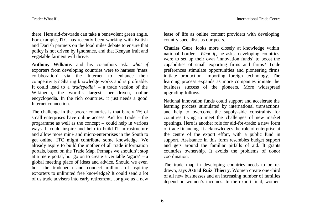there. Here aid-for-trade can take a benevolent green angle. For example, ITC has recently been working with British and Danish partners on the food miles debate to ensure that policy is not driven by ignorance, and that Kenyan fruit and vegetable farmers will thrive.

**Anthony Williams** and his co-authors ask: *what if* exporters from developing countries were to harness 'mass collaboration' via the Internet to enhance their competitivity? Sharing knowledge works and is profitable. It could lead to a '*tradepedia*' – a trade version of the Wikipedia, the world's largest, peer-driven, online encyclopedia. In the rich countries, it just needs a good Internet connection.

The challenge in the poorer countries is that barely 1% of small enterprises have online access. Aid for Trade – the programme as well as the concept – could help in various ways. It could inspire and help to build IT infrastructure and allow more mini- and micro-enterprises in the South to get online. ITC might contribute some knowledge. We already aspire to build the mother of all trade information portals, based on the Trade Map. Perhaps we shouldn't stop at a mere portal, but go on to create a veritable 'agora' – a global meeting place of ideas and advice. Should we even host the tradepedia and connect millions of aspiring exporters to unlimited free knowledge? It could send a lot of us trade advisers into early retirement…or give us a new

lease of life as online content providers with developing country specialists as our peers.

**Charles Gore** looks more closely at knowledge within national borders. *What if*, he asks, developing countries were to set up their own 'innovation funds' to boost the capabilities of small exporting firms and farms? Trade preferences stimulate opportunities and pioneering firms initiate production, importing foreign technology. The learning process expands as more companies imitate the business success of the pioneers. More widespread upgrading follows.

National innovation funds could support and accelerate the learning process stimulated by international transactions and help to overcome the supply-side constraints for countries trying to meet the challenges of new market openings. Here is another role for aid-for-trade: a new form of trade financing. It acknowledges the role of enterprise at the centre of the export effort, with a public fund in support. Assistance in this form resembles budget support and gets around the familiar pitfalls of aid. It grants countries ownership. It avoids the problems of donor coordination.

The trade map in developing countries needs to be redrawn, says **Astrid Ruiz Thierry**. Women create one-third of all new businesses and an increasing number of families depend on women's incomes. In the export field, women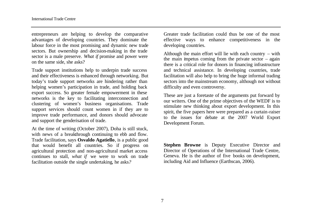entrepreneurs are helping to develop the comparative advantages of developing countries. They dominate the labour force in the most promising and dynamic new trade sectors. But ownership and decision-making in the trade sector is a male preserve. *What if* promise and power were on the same side, she asks?

Trade support institutions help to underpin trade success and their effectiveness is enhanced through networking. But today's trade support networks are hindering rather than helping women's participation in trade, and holding back export success. So greater female empowerment in these networks is the key to facilitating interconnection and clustering of women's business organisations. Trade support services should count women in if they are to improve trade performance, and donors should advocate and support the genderisation of trade.

At the time of writing (October 2007), Doha is still stuck, with news of a breakthrough continuing to ebb and flow. Trade facilitation, says **Osvaldo Agatiello**, is a public good that would benefit all countries. So if progress on agricultural protection and non-agricultural market access continues to stall, *what if* we were to work on trade facilitation outside the single undertaking*,* he asks*?*

Greater trade facilitation could thus be one of the most effective ways to enhance competitiveness in the developing countries.

Although the main effort will lie with each country – with the main impetus coming from the private sector – again there is a critical role for donors in financing infrastructure and technical assistance. In developing countries, trade facilitation will also help to bring the huge informal trading sectors into the mainstream economy, although not without difficulty and even controversy.

These are just a foretaste of the arguments put forward by our writers. One of the prime objectives of the WEDF is to stimulate new thinking about export development. In this spirit, the five papers here were prepared as a curtain-raiser to the issues for debate at the 2007 World Export Development Forum.

**Stephen Browne** is Deputy Executive Director and Director of Operations of the International Trade Centre, Geneva. He is the author of five books on development, including Aid and Influence (Earthscan, 2006).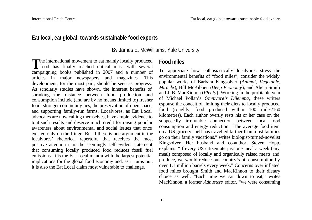#### **Eat local, eat global: towards sustainable food exports**

By James E. McWilliams, Yale University

The international movement to eat mainly locally produced<br>food has finally reached critical mass with several food has finally reached critical mass with several campaigning books published in 2007 and a number of articles in major newspapers and magazines. This development, for the most part, should be seen as progress. As scholarly studies have shown, the inherent benefits of shrinking the distance between food production and consumption include (and are by no means limited to) fresher food, stronger community ties, the preservation of open space, and supporting family-run farms. Localvores, as Eat Local advocates are now calling themselves, have ample evidence to tout such results and deserve much credit for raising popular awareness about environmental and social issues that once existed only on the fringe. But if there is one argument in the localvores' rhetorical repertoire that receives the most positive attention it is the seemingly self-evident statement that consuming locally produced food reduces fossil fuel emissions. It is the Eat Local mantra with the largest potential implications for the global food economy and, as it turns out, it is also the Eat Local claim most vulnerable to challenge.

#### **Food miles**

To appreciate how enthusiastically localvores stress the environmental benefits of "food miles", consider the widely popular works of Barbara Kingsolver (*Animal, Vegetable, Miracle*), Bill McKibben (*Deep Economy*), and Alicia Smith and J. B. MacKinnon (*Plenty*). Working in the profitable vein of Michael Pollan's *Omnivore's Dilemma*, these writers espouse the conceit of limiting their diets to locally produced food (roughly, food produced within 100 miles/160 kilometres). Each author overtly rests his or her case on the supposedly irrefutable connection between local food consumption and energy reduction. "The average food item on a US grocery shelf has travelled farther than most families go on their family vacations," writes biologist-turned-novelist Kingsolver. Her husband and co-author, Steven Hopp, explains: "If every US citizen ate just one meal a week (any meal) composed of locally and organically raised meats and produce, we would reduce our country's oil consumption by over 1.1 million barrels every week." Concerns over inflated food miles brought Smith and MacKinnon to their dietary choice as well. "Each time we sat down to eat," writes MacKinnon, a former *Adbusters* editor, "we were consuming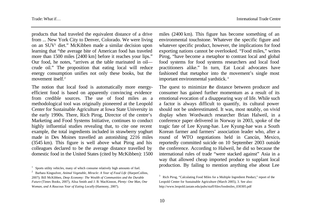products that had traveled the equivalent distance of a drive from ... New York City to Denver, Colorado. We were living on an SUV<sup>1</sup> diet." McKibben made a similar decision upon learning that "the average bite of American food has traveled more than 1500 miles [2400 km] before it reaches your lips." Our food, he notes, "arrives at the table marinated in oil crude oil." The proposition that eating local will reduce energy consumption unifies not only these books, but the movement itself.<sup>2</sup>

The notion that local food is automatically more energyefficient food is based on apparently convincing evidence from credible sources. The use of food miles as a methodological tool was originally pioneered at the Leopold Center for Sustainable Agriculture at Iowa State University in the early 1990s. There, Rich Pirog, Director of the centre's Marketing and Food Systems Initiative, continues to conduct highly influential studies revealing that, to cite one recent example, the total ingredients included in strawberry yoghurt made in Des Moines travelled an astonishing 2216 miles (3545 km). This figure is well above what Pirog and his colleagues declared to be the average distance travelled by domestic food in the United States (cited by McKibben): 1500

miles (2400 km). This figure has become something of an environmental touchstone. Whatever the specific figure and whatever specific product, however, the implications for food exporting nations cannot be overlooked. "Food miles," writes Pirog, "have become a metaphor to contrast local and global food systems for food systems researchers and local food practitioners alike." In turn, Eat Local advocates have fashioned that metaphor into the movement's single most important environmental yardstick. <sup>3</sup>

The quest to minimize the distance between producer and consumer has gained further momentum as a result of its emotional evocation of a disappearing way of life. While such a factor is always difficult to quantify, its cultural power should not be underestimated. It was, most notably, on vivid display when Wordwatch researcher Brian Halweil, in a conference paper delivered in Norway in 2003, spoke of the tragic fate of Lee Kyung-hae. Lee Kyung-hae was a South Korean farmer and farmers' association leader who, after a round of WTO negotiations held in Cancún, Mexico, reportedly committed suicide on 10 September 2003 outside the conference. According to Halweil, he did so because the international rules of trade "were stacked against" Asia in a way that allowed cheap imported produce to supplant local production. By failing to mention anything else about Lee

<sup>1</sup> Sports utility vehicles, many of which consume relatively high amounts of fuel.

<sup>2</sup> Barbara Kingsolver, *Animal Vegetable, Miracle: A Year of Food Life* (HarperCollins, 2007); Bill McKibben, *Deep Economy: The Wealth of Communities and the Durable Future* (Times Books, 2007), Alisa Smith and J. B. MacKinnon, *Plenty: One Man, One Woman, and A Raucous Year of Eating Locally* (Harmony, 2007).

<sup>3</sup> Rich Pirog, "Calculating Food Miles for a Multiple Ingredient Product," report of the Leopold Center for Sustainable Agriculture (March 2005), 3. See also: http://www.leopold.iastate.edu/pubs/staff/files/foodmiles\_030305.pdf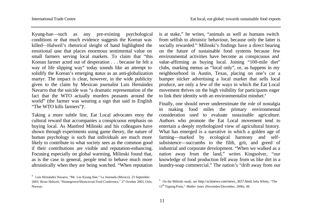Kyung-hae—such as any pre-existing psychological conditions or that much evidence suggests the Korean was killed—Halweil's rhetorical sleight of hand highlighted the emotional case that places enormous sentimental value on small farmers serving local markets. To claim that "this Korean farmer acted out of desperation . . . because he felt a way of life slipping way" today sounds like an attempt to solidify the Korean's emerging status as an anti-globalization martyr. The impact is clear, however, in the wide publicity given to the claim by Mexican journalist Luis Hernández Navarro that the suicide was "a dramatic representation of the fact that the WTO actually murders peasants around the world" (the farmer was wearing a sign that said in English "The WTO kills farmers")<sup>4</sup>.

Taking a more subtle line, Eat Local advocates enoy the cultural reward that accompanies a conspicuous emphasis on buying local. As Manfred Milinski and his colleagues have shown through experiments using game theory, the nature of human psychology is such that individuals are much more likely to contribute to what society sees as the common good if their contributions are visible and reputation-enhancing. Focusing especially on global warming, Milinski found that, as is the case in general, people tend to behave much more altruistically when they are being watched. "When reputation

is at stake," he writes, "animals as well as humans switch from selfish to altruistic behaviour, because only the latter is socially rewarded." Milinski's findings have a direct bearing on the future of sustainable food systems because few environmental activities have become as conspicuous and value-affirming as buying local. Joining "100-mile diet" clubs, marking menus as "local only", or, as happens in my neighbourhood in Austin, Texas, placing on one's car a bumper sticker advertising a local market that sells local produce, are only a few of the ways in which the Eat Local movement thrives on the high visibility for participants eager to link their identity with an environmentalist mindset.<sup>5</sup>

Finally, one should never underestimate the role of nostalgia in making food miles the primary environmental consideration used to evaluate sustainable agriculture. Authors who promote the Eat Local movement tend to entertain a deeply mythologized view of agricultural history. What has emerged is a narrative in which a golden age of farming—marked by ecological harmony and selfsubsistence—succumbs to the filth, grit, and greed of industrial and corporate development. "When we walked as a nation away from the land," writes Kingsolver, "our knowledge of food production fell away from us like dirt in a laundry-soap commercial." The nation's "drift away from our

<sup>4</sup> Luis Hernández Navarro, "Mr. Lee Kyung Hae," La Journada (Mexico), 23 September 2003; Brian Halweil, "Homegrown/Shortcircuit Food Conference," 27 October 2003, Oslo, Norway.

<sup>&</sup>lt;sup>5</sup> On the Milinski study, see http://sciitnews.com/news\_3657.html; Julia Whitty, "The 13th Tipping Point," *Mother Jones* (November/December, 2006), 48.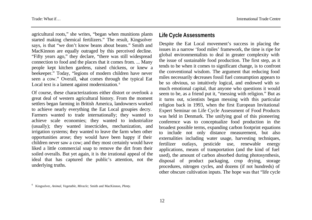agricultural roots," she writes, "began when munitions plants started making chemical fertilizers." The result, Kingsolver says, is that "we don't know beans about beans." Smith and MacKinnon are equally outraged by this perceived decline. "Fifty years ago," they declare, "there was still widespread connection to food and the places that it comes from. ... Many people kept kitchen gardens, raised chickens, or knew a beekeeper." Today, "legions of modern children have never seen a cow." Overall, what comes through the typical Eat Local text is a lament against modernization.<sup>6</sup>

Of course, these characterizations either distort or overlook a great deal of western agricultural history. From the moment settlers began farming in British America, landowners worked to achieve nearly everything the Eat Local groupies decry. Farmers wanted to trade internationally; they wanted to achieve scale economies; they wanted to industrialize (usually); they wanted insecticides, mechanization, and irrigation systems; they wanted to leave the farm when other opportunities arose; they would have been happy if their children never saw a cow; and they most certainly would have liked a little commercial soap to remove the dirt from their soiled overalls. But yet again, it is the irrational appeal of the ideal that has captured the public's attention, not the underlying truths.

#### **Life Cycle Assessments**

Despite the Eat Local movement's success in placing the issues in a narrow 'food miles' framework, the time is ripe for global environmentalists to deal in greater complexity with the issue of sustainable food production. The first step, as it tends to be when it comes to significant change, is to confront the conventional wisdom. The argument that reducing food miles necessarily decreases fossil fuel consumption appears to be so obvious, so intuitively logical, and endowed with so much emotional capital, that anyone who questions it would seem to be, as a friend put it, "messing with religion." But as it turns out, scientists began messing with this particular religion back in 1993, when the first European Invitational Expert Seminar on Life Cycle Assessment of Food Products was held in Denmark. The unifying goal of this pioneering conference was to conceptualize food production in the broadest possible terms, expanding carbon footprint equations to include not only distance measurement, but also externalities including water usage, harvesting techniques, fertilizer outlays, pesticide use, renewable energy applications, means of transportation (and the kind of fuel used), the amount of carbon absorbed during photosynthesis, disposal of product packaging, crop drying, storage procedures, nitrogen cycles, and dozens (if not hundreds) of other obscure cultivation inputs. The hope was that "life cycle

<sup>6</sup> Kingsolver, *Animal, Vegetable, Miracle;* Smith and MacKinnon, *Plenty.*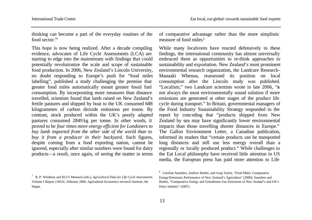thinking can become a part of the everyday routines of the food sector."7

This hope is now being realized. After a decade compiling evidence, advocates of Life Cycle Assessments (LCA) are starting to edge into the mainstream with findings that could potentially revolutionize the scale and scope of sustainable food production. In 2006, New Zealand's Lincoln University, no doubt responding to Europe's push for "food miles labelling", published a study challenging the premise that greater food miles automatically meant greater fossil fuel consumption. By incorporating more measures than distance travelled, scientists found that lamb raised on New Zealand's fertile pastures and shipped by boat to the UK consumed 688 kilogrammes of carbon dioxide emissions per tonne. By contrast, stock produced within the UK's poorly adapted pastures consumed 2849 kg per tonne. In other words, it proved to be *four times more energy efficient for Londoners to buy lamb imported from the other side of the world than to buy it from a producer in their backyard.* Such figures, despite coming from a food exporting nation, cannot be ignored, especially after similar numbers were found for dairy products—a result, once again, of seeing the matter in terms of comparative advantage rather than the more simplistic measure of food miles.<sup>8</sup>

While many localvores have reacted defensively to these findings, the international community has almost universally embraced them as opportunities to re-think approaches to sustainability and exportation. New Zealand's most prominent environmental research organization, the Landcare Research– Manaaki Whenua, reassessed its position on local consumption after the Lincoln study was published. "Localism," two Landcare scientists wrote in late 2006, "is not always the most environmentally sound solution if more emissions are generated at other stages of the product life cycle during transport." In Britain, governmental managers of the Food Industry Sustainability Strategy responded to the report by conceding that "products shipped from New Zealand by sea may have significantly lower environmental impacts than those travelling shorter distances in Europe." The Gallon Environment Letter, a Canadian publication, informed its readers that "certain products can be transported long distances and still use less energy overall than a regionally or locally produced product." While challenges to the Eat Local philosophy have received little attention in US media, the European press has paid more attention to Life

<sup>7</sup> B. P. Weidema and M.J.G Meeusen (eds.), *Agricultural Data for Life Cycle Assessments* Volume I Report 2.00.01, February 2000, Agricultural Economics research Institute, the Hague.

<sup>&</sup>lt;sup>8</sup> Caroline Saunders, Andrew Barber, and Greg Taylor, "Food Miles: Comparative Energy/Emissions Performance of New Zealand's Agriculture" (2006); Saunders and Barber, "Comparative Energy and Greenhouse Gas Emissions of New Zealand's and UK's Dairy Industry" (2007).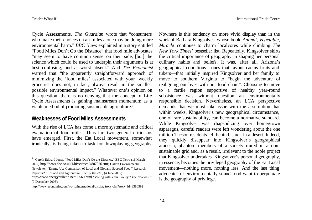Trade: What if… International Trade Centre

Cycle Assessments. *The Guardian* wrote that "consumers who make their choices on air miles alone may be doing more environmental harm." *BBC News* explained in a story entitled "Food Miles Don't Go the Distance" that food mile advocates "may seem to have common sense on their side, [but] the science which could be used to underpin their arguments is at best confusing, and at worst absent." And *The Economist* warned that "the apparently straightforward approach of minimizing the 'food miles' associated with your weekly groceries does not, in fact, always result in the smallest possible environmental impact." Whatever one's opinion on this question, there is no denying that the concept of Life Cycle Assessments is gaining mainstream momentum as a viable method of promoting sustainable agriculture.<sup>9</sup>

#### **Weaknesses of Food Miles Assessments**

With the rise of LCA has come a more systematic and critical evaluation of food miles. Thus far, two general criticisms have emerged. First, the Eat Local movement, somewhat ironically, is being taken to task for downplaying geography.

Nowhere is this tendency on more vivid display than in the work of Barbara Kingsolver, whose book *Animal, Vegetable, Miracle* continues to charm localvores while climbing *The New York Times'* bestseller list. Repeatedly, Kingsolver skirts the critical importance of geography in shaping her personal culinary habits and beliefs. It was, after all, Arizona's geographical conditions—ones that favour cactus fruits and tubers—that initially inspired Kingsolver and her family to move to southern Virginia to "begin the adventure of realigning our lives with our food chain". Choosing to move to a fertile region supportive of healthy year-round subsistence was without question an environmentally responsible decision. Nevertheless, an LCA perspective demands that we must take issue with the assumption that within weeks, Kingsolver's new geographical circumstance, one of rare sustainability, can become a normative standard. While Kingsolver was rhapsodizing over homegrown asparagus, careful readers were left wondering about the one million Tucson residents left behind, stuck in a desert. Indeed, they quickly disappear into Kingsolver's geographical amnesia, phantom members of a society mired in a nonsustainable grid and, as a result, irrelevant to the noble project that Kingsolver undertakes. Kingsolver's personal geography, in essence, becomes the privileged geography of the Eat Local movement—nothing more, nothing less. And the last thing advocates of environmentally sound food want to perpetuate is the geography of privilege.

<sup>&</sup>lt;sup>9</sup> Gareth Edward Jones, "Food Miles Don't Go the Distance," BBC News (16 March 2007) http://news.bbc.co.uk/1/hi/sci/tech/4807026.stm; Gallon Environmental

Newsletter, "Energy Use Comparison of Local and Globally Sourced Food," Research

Report #285. "Food and Agriculture, *Energy Bulletin*, (4 June 2007):

http://www.energybulletin.net/30560.html; "Voting with Your Trolley," *The Economist*  (7 December 2006):

http://www.economist.com/world/international/displayStory.cfm?story\_id=8380592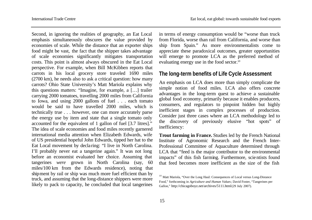Second, in ignoring the realities of geography, an Eat Local emphasis simultaneously obscures the value provided by economies of scale. While the distance that an exporter ships food might be vast, the fact that the shipper takes advantage of scale economies significantly mitigates transportation costs. This point is almost always obscured in the Eat Local perspective. For example, when Bill McKibben reports that carrots in his local grocery store traveled 1690 miles (2700 km), he needs also to ask a critical question: how many carrots? Ohio State University's Matt Mariola explains why this questions matters: "Imagine, for example, a […] trailer carrying 2000 tomatoes, travelling 2000 miles from California to Iowa, and using 2000 gallons of fuel . . . each tomato would be said to have travelled 2000 miles, which is technically true . . . however, one can more accurately parse the energy use by item and state that a single tomato only accounted for the equivalent of 1 gallon of fuel [3.7 litres]." The idea of scale economies and food miles recently garnered international media attention when Elizabeth Edwards, wife of US presidential hopeful John Edwards, tipped her hat to the Eat Local movement by decla ring: "I live in North Carolina. I'll probably never eat a tangerine again." It was not long before an economist evaluated her choice. Assuming that tangerines *were* grown in North Carolina (say, 60 miles/100 km from the Edwards residence), noting that shipment by rail or ship was much more fuel efficient than by truck, and assuming that the long-distance shippers were more likely to pack to capacity, he concluded that local tangerines

in terms of energy consumption would be "worse than truck from Florida, worse than rail from California, and worse than ship from Spain." As more environmentalists come to appreciate these paradoxical outcomes, greater opportunities will emerge to promote LCA as the preferred method of evaluating energy use in the food sector.<sup>10</sup>

#### **The long-term benefits of Life Cycle Assessment**

An emphasis on LCA does more than simply complicate the simple notion of food miles. LCA also offers concrete advantages in the long-term quest to achieve a sustainable global food economy, primarily because it enables producers, consumers, and regulators to pinpoint hidden but highly inefficient stages in complex processes of production. Consider just three cases where an LCA methodology led to the discovery of previously elusive "hot spots" of inefficiency:

**Trout farming in France.** Studies led by the French National Institute of Agronomic Research and the French Inter-Professional Committee of Aquaculture determined through LCA that "feed is the major contributor to the environmental impacts" of this fish farming. Furthermore, scientists found that feed becomes more inefficient as the size of the fish

<sup>&</sup>lt;sup>10</sup> Matt Mariola, "Over the Long Haul: Consequences of Local versus Long-Distance Food," forthcoming in *Agriculture and Human Values*; David Foster, "Tangerines per Gallon," http://chicagoboyz.net/archives/5111.html (29 July 2007).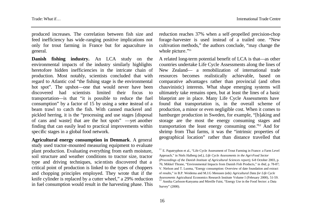produced increases. The correlation between fish size and feed inefficiency has wide-ranging positive implications not only for trout farming in France but for aquaculture in general.

**Danish fishing industry.** An LCA study on the environmental impacts of the industry similarly highlights heretofore hidden inefficiencies in the intricate chain of production. Most notably, scientists concluded that with regard to Atlantic cod "the fishing stage is the environmental hot spot". The upshot—one that would never have been discovered had scientists limited their focus to transportation—is that "it is possible to reduce the fuel consumption" by a factor of 15 by using a seine instead of a beam trawl to catch the fish. With canned mackerel and pickled herring, it is the "processing and use stages [disposal of cans and waste] that are the hot spots" —yet another finding that can easily lead to practical improvements within specific stages in a global food network.

**Agricultural energy consumption in Denmark**. A general study used tractor-mounted measuring equipment to evaluate plant production. Evaluating everything from earth moisture, soil structure and weather conditions to tractor size, tractor type and driving techniques, scientists discovered that a critical point of production is linked to the types of choppers and chopping principles employed. They wrote that if the knife cylinder is replaced by a cutter wheel," a 29% reduction in fuel consumption would result in the harvesting phase. This

reduction reaches 37% when a self-propelled precision-chop forage-harvester is used instead of a trailed one. "New cultivation methods," the authors conclude, "may change the whole picture."<sup>11</sup>

A related long-term potential benefit of LCA is that—as other countries undertake Life Cycle Assessments along the lines of New Zealand— a remobilization of international trade resources becomes realistically achievable, based on comparative advantages rather than provincial (and often chauvinistic) interests. What shape emerging systems will ultimately take remains open, but at least the lines of a basic blueprint are in place. Many Life Cycle Assessments have found that transportation is, in the overall scheme of production, a minor or even negligible cost. When it comes to hamburger production in Sweden, for example, "[b]aking and storage are the most the energy consuming stages and transportation the least energy consuming one."12 And for shrimp from Thai farms, it was the "intrinsic properties of geographical location" rather than distance travelled that

<sup>&</sup>lt;sup>11</sup> E. Papatryphon et al., "Life Cycle Assessment of Trout Farming in France: a Farm Level Approach," in Niels Halberg (ed.), *Life Cycle Assessments in the Agri-Food Sector (Proceedings of the Danish Institute of Agricultural Sciences report)*, 6-8 October 2003, p. 76; Mikkel Thrane, "Environmental Impacts from Danish Fish Products," in *ibid*, p. 78-87; V. Nielson and T. Luoma, "Energy consumption: Overview of date foundation and extract of results," in B.P. Weidema and M.J.G Meeusen (eds) *Agricultural Data for Life Cycle Assessments* Agricultural Economics Research Institute Volume I (February 2000), 51-59. <sup>12</sup> Annika Carlsson-Kanyama and Mireille Faist, "Energy Use in the Food Sector: a Data Survey" (2000).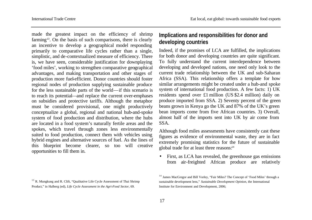made the greatest impact on the efficiency of shrimp farming<sup>13</sup>. On the basis of such comparisons, there is clearly an incentive to develop a geographical model responding primarily to comparative life cycles rather than a single, simplistic, and de-contextualized measure of efficiency. There is, we have seen, considerable justification for downplaying 'food miles', working to strengthen comparative geographical advantages, and making transportation and other stages of production more fuel-efficient. Donor countries should foster regional nodes of production supplying sustainable produce for the less sustainable parts of the world—if this scenario is to reach its potential—and replace the current over-emphases on subsidies and protective tariffs. Although the metaphor must be considered provisional, one might productively conceptualize a global, regional and national hub-and-spoke system of food production and distribution, where the hubs are located in a food system's naturally fertile areas and the spokes, which travel through zones less environmentally suited to food production, connect them with vehicles using hybrid engines and alternative sources of fuel. As the lines of this blueprint become clearer, so too will creative opportunities to fill them in.

# **Implications and responsibilities for donor and developing countries**

Indeed, if the promises of LCA are fulfilled, the implications for both donor and developing countries are quite significant. To fully understand the current interdependence between developing and developed nations, one need only look to the current trade relationship between the UK and sub-Saharan Africa (SSA). This relationship offers a template for how similar arrangements might be created under a hub-and spoke system of international food production. A few facts: 1) UK residents spend over £1 million (US \$2.4 million) daily on produce imported from SSA. 2) Seventy percent of the green beans grown in Kenya go the UK and 87% of the UK's green bean imports come from five African countries. 3) Overall, almost half of the imports sent into UK by air come from SSA.

Although food miles assessments have consistently cast these figures as evidence of environmental waste, they are in fact extremely promising statistics for the future of sustainable global trade for at least three reasons:<sup>14</sup>

• First, as LCA has revealed, the greenhouse gas emissions from air-freighted African produce are relatively

<sup>&</sup>lt;sup>13</sup> R. Mungkung and R. Clift, "Qualitative Life Cycle Assessment of Thai Shrimp Product," in Halberg (ed), *Life Cycle Assessment in the Agri-Food Sector*, 69.

<sup>&</sup>lt;sup>14</sup> James MacGregor and Bill Vorley, "Fair Miles? The Concept of 'Food Miles' through a sustainable development lens," *Sustainable Development Opinion*, the International Institute for Environment and Development, 2006;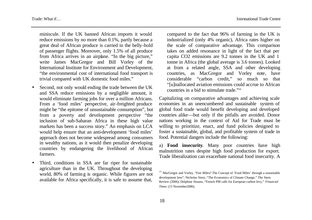miniscule. If the UK banned African imports it would reduce emissions by no more than 0.1%, partly because a great deal of African produce is carried in the belly-hold of passenger flights. Moreover, only 1.5% of all produce from Africa arrives in an airplane. "In the big picture," write James MacGregor and Bill Vorley of the International Institute for Environment and Development, "the environmental cost of international food transport is trivial compared with UK domestic food miles."

- Second, not only would ending the trade between the UK and SSA reduce emissions by a negligible amount, it would eliminate farming jobs for over a million Africans. From a 'food miles' perspective, air-freighted produce might be "the epitome of unsustainable consumption", but from a poverty and development perspective "the inclusion of sub-Saharan Africa in these high value markets has been a success story." An emphasis on LCA would help ensure that an anti-development 'food miles' approach does not become widespread among consumers in wealthy nations, as it would then penalize developing countries by endangering the livelihood of African farmers.
- Third, conditions in SSA are far riper for sustainable agriculture than in the UK. Throughout the developing world, 80% of farming is organic. While figures are not available for Africa specifically, it is safe to assume that,

compared to the fact that 96% of farming in the UK is industrialized (only 4% organic), Africa rates higher on the scale of comparative advantage. This comparison takes on added resonance in light of the fact that per capita CO2 emissions are 9.2 tonnes in the UK and 1 tonne in Africa (the global average is 3.6 tonnes). Looked at from a related angle, SSA and other developing countries, as MacGregor and Vorley note, have considerable "carbon credit," so much so that "[u]nallocated aviation emissions could accrue to African countries in a bid to stimulate trade."<sup>15</sup>

Capitalizing on comparative advantages and achieving scale economies in an unencumbered and sustainable system of global food trade would benefit developing and developed countries alike—but only if the pitfalls are avoided. Donor nations working in the context of Aid for Trade must be willing to prioritize, enact, and fund policies designed to foster a sustainable, global, and profitable system of trade in food. Potential dangers include the following:

a) **Food insecurity**. Many poor countries have high malnutrition rates despite high food production for export. Trade liberalization can exacerbate national food insecurity. A

<sup>&</sup>lt;sup>15</sup> MacGregor and Vorley, "Fair Miles? The Concept of 'Food Miles' through a sustainable development lens"; Nicholas Stern, "The Economics of Climate Change," The Stern Review (2006); Delphine Strauss, "French PM calls for European carbon levy," *Financial Times* (13 November2006).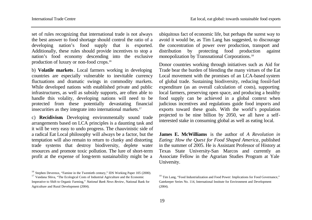set of rules recognizing that international trade is not always the best answer to food shortage should control the ratio of a developing nation's food supply that is exported. Additionally, these rules should provide incentives to stop a nation's food economy descending into the exclusive production of luxury or non-food crops.<sup>16</sup>

b) **Volatile markets**. Local farmers working in developing countries are especially vulnerable to inevitable currency fluctuations and dramatic swings in commodity markets. While developed nations with established private and public infrastructures, as well as subsidy supports, are often able to handle this volality, developing nations will need to be protected from these potentially devastating financial insecurities as they integrate into international markets.<sup>17</sup>

c) **Recidivism**. Developing environmentally sound trade arrangements based on LCA principles is a daunting task and it will be very easy to undo progress. The chauvinistic side of a radical Eat Local philosophy will always be a factor, but the temptation will also remain to return to clunky and distorting trade systems that destroy biodiversity, deplete water resources and promote toxic pollution. The lure of short-term profit at the expense of long-term sustainability might be a

ubiquitous fact of economic life, but perhaps the surest way to avoid it would be, as Tim Lang has suggested, to discourage the concentration of power over production, transport and distribution by protecting food production against monopolization by Transnational Corporations.<sup>18</sup>

Donor countries working through initiatives such as Aid for Trade bear the burden of blending the many virtues of the Eat Local movement with the promises of an LCA-based system of global trade. Sustaining biodiversity, reducing fossil-fuel expenditure (as an overall calculation of costs), supporting local farmers, preserving open space, and producing a healthy food supply can be achieved in a global context when judicious incentives and regulations guide food imports and exports toward these goals. With the world's population projected to be nine billion by 2050, we all have a selfinterested stake in consuming global as well as eating local.

**James E. McWilliams** is the author of *A Revolution in Eating: How the Quest for Food Shaped America*, published in the summer of 2005. He is Assistant Professor of History at Texas State University-San Marcos and currently an Associate Fellow in the Agrarian Studies Program at Yale University.

<sup>&</sup>lt;sup>16</sup> Stephen Devereux, "Famine in the Twentieth century," IDS Working Paper 105 (2000). <sup>17</sup> Vandana Shiva, "The Ecological Costs of Industrial Agriculture and the Economic Imperative to Shift to Organic Farming," *National Bank News Review*, National Bank for Agriculture and Rural Development (2004).

<sup>&</sup>lt;sup>18</sup> Tim Lang, "Food Industrialization and Food Power: Implications for Food Governance," Gatekeeper Series No. 114, International Institute for Environment and Development (2004).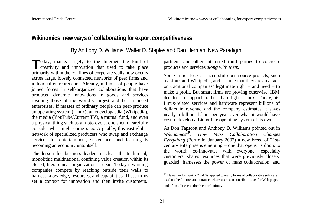# **Wikinomics: new ways of collaborating for export competitiveness**

By Anthony D. Williams, Walter D. Staples and Dan Herman, New Paradigm

Today, thanks largely to the Internet, the kind of<br>creativity and innovation that used to take place creativity and innovation that used to take place primarily within the confines of corporate walls now occurs across large, loosely connected networks of peer firms and individual entrepreneurs. Already, millions of people have joined forces in self-organized collaborations that have produced dynamic innovations in goods and services rivalling those of the world's largest and best-financed enterprises. If masses of ordinary people can peer-produce an operating system (Linux), an encyclopaedia (Wikipedia), the media (YouTube/Current TV), a mutual fund, and even a physical thing such as a motorcycle, one should carefully consider what might come *next*. Arguably, this vast global network of specialized producers who swap and exchange services for entertainment, sustenance, and learning is becoming an economy unto itself.

The lesson for business leaders is clear: the traditional, monolithic multinational confining value creation within its closed, hierarchical organization is dead. Today's winning companies compete by reaching outside their walls to harness knowledge, resources, and capabilities. These firms set a context for innovation and then invite customers,

partners, and other interested third parties to co-create products and services *along with them*.

Some critics look at successful open source projects, such as Linux and Wikipedia, and assume that they are an attack on traditional companies' legitimate right – and need – to make a profit. But smart firms are proving otherwise. IBM decided to support, rather than fight, Linux. Today, its Linux-related services and hardware represent billions of dollars in revenue and the company estimates it saves nearly a billion dollars per year over what it would have cost to develop a Linux-like operating system of its own.

As Don Tapscott and Anthony D. Williams pointed out in *Wikinomics19: How Mass Collaboration Changes Everything* (Portfolio, January 2007) a new breed of 21stcentury enterprise is emerging – one that opens its doors to the world; co-innovates with everyone, especially customers; shares resources that were previously closely guarded; harnesses the power of mass collaboration; and

<sup>&</sup>lt;sup>19</sup> Hawaiian for "quick," *wiki* is applied to many forms of collaborative software used on the Internet and intranets where users can contribute texts for Web pages and often edit each other's contributions.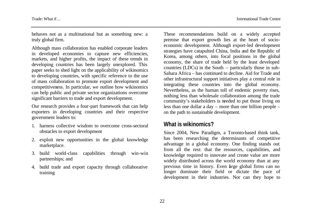behaves not as a multinational but as something new: a truly global firm.

Although mass collaboration has enabled corporate leaders in developed economies to capture new efficiencies, markets, and higher profits, the impact of these trends in developing countries has been largely unexplored. This paper seeks to shed light on the applicability of wikinomics to developing countries, with specific reference to the use of mass collaboration to promote export development and competitiveness. In particular, we outline how wikinomics can help public and private sector organizations overcome significant barriers to trade and export development.

Our research provides a four-part framework that can help exporters in developing countries and their respective government leaders to:

- 1. harness collective wisdom to overcome cross-sectoral obstacles to export development
- 2. exploit new opportunities in the global knowledge marketplace.
- 3. build world-class capabilities through win-win partnerships; and
- 4. build trade and export capacity through collaborative training

These recommendations build on a widely accepted premise that export growth lies at the heart of socioeconomic development. Although export-led development strategies have catapulted China, India and the Republic of Korea, among others, into focal positions in the global economy, the share of trade held by the least developed countries (LDCs) in the South – particularly those in sub-Sahara Africa – has continued to decline. Aid for Trade and other infrastructural support initiatives play a central role in integrating these countries into the global economy. Nevertheless, as the human toll of endemic poverty rises, nothing less than wholesale collaboration among the trade community's stakeholders is needed to put those living on less than one dollar a day – more than one billion people – on the path to sustainable development.

## **What is wikinomics?**

Since 2004, New Paradigm, a Toronto-based think tank, has been researching the determinants of competitive advantage in a global economy. One finding stands out from all the rest: that the resources, capabilities, and knowledge required to innovate and create value are more widely distributed across the world economy than at any previous time in history. Even large global firms can no longer dominate their field or dictate the pace of development in their industries. Nor can they hope to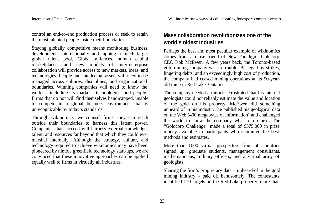control an end-to-end production process or seek to retain the most talented people inside their boundaries.

Staying globally competitive means monitoring business developments internationally and tapping a much larger global talent pool. Global alliances, human capital marketplaces, and new models of inter-enterprise collaboration will provide access to new markets, ideas, and technologies. People and intellectual assets will need to be managed across cultures, disciplines, and organizational boundaries. Winning companies will need to know the world – including its markets, technologies, and people. Firms that do not will find themselves handicapped, unable to compete in a global business environment that is unrecognizable by today's standards.

Through wikinomics, we counsel firms, they can reach outside their boundaries to harness this latent power. Companies that succeed will harness external knowledge, talent, and resources far beyond that which they could ever marshal internally. Although the strategy, culture, and technology required to achieve wikinomics may have been pioneered by nimble greenfield technology start-ups, we are convinced that these innovative approaches can be applied equally well to firms in virtually all industries.

# **Mass collaboration revolutionizes one of the world's oldest industries**

Perhaps the best and most peculiar example of wikinomics comes from a close friend of New Paradigm, Goldcorp CEO Rob McEwen. A few years back, the Toronto-based gold mining company was in trouble. Besieged by strikes, lingering debts, and an exceedingly high cost of production, the company had ceased mining operations at its 50-yearold mine in Red Lake, Ontario.

The company needed a miracle. Frustrated that his internal geologists could not reliably estimate the value and location of the gold on his property, McEwen did something unheard of in his industry: he published his geological data on the Web (400 megabytes of information) and challenged the world to show the company what to do next. The "Goldcorp Challenge" made a total of \$575,000 in prize money available to participants who submitted the best methods and estimates.

More than 1000 virtual prospectors from 50 countries signed up: graduate students, management consultants, mathematicians, military officers, and a virtual army of geologists.

Sharing the firm's proprietary data – unheard-of in the gold mining industry – paid off handsomely. The contestants identified 110 targets on the Red Lake property, more than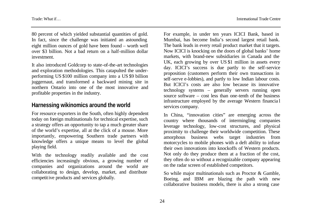80 percent of which yielded substantial quantities of gold. In fact, since the challenge was initiated an astounding eight million ounces of gold have been found – worth well over \$3 billion. Not a bad return on a half-million dollar investment.

It also introduced Goldcorp to state-of-the-art technologies and exploration methodologies. This catapulted the underperforming US \$100 million company into a US \$9 billion juggernaut, and transformed a backward mining site in northern Ontario into one of the most innovative and profitable properties in the industry.

## **Harnessing wikinomics around the world**

For resource exporters in the South, often highly dependent today on foreign multinationals for technical expertise, such a strategy offers an opportunity to tap a much greater share of the world's expertise, all at the click of a mouse. More importantly, empowering Southern trade partners with knowledge offers a unique means to level the global playing field.

With the technology readily available and the cost efficiencies increasingly obvious, a growing number of companies and organizations around the world are collaborating to design, develop, market, and distribute competitive products and services globally.

For example, in under ten years ICICI Bank, based in Mumbai, has become India's second largest retail bank. The bank leads in every retail product market that it targets. Now ICICI is knocking on the doors of global banks' home markets, with brand-new subsidiaries in Canada and the UK, each growing by over US \$1 million in assets every day. ICICI's success is due partly to the self-service proposition (customers perform their own transactions in self-serve e-lobbies), and partly to low Indian labour costs. But ICICI's costs are also low because its innovative technology systems – generally servers running open source software – cost less than one-tenth of the business infrastructure employed by the average Western financia l services company.

In China, "innovation cities" are emerging across the country where thousands of intermingling companies leverage technology, low-cost structures, and physical proximity to challenge their worldwide competition. These amorphous business webs target industries from motorcycles to mobile phones with a deft ability to infuse their own innovations into knockoffs of Western products. Not only do they produce them at a fraction of the cost, they often do so without a recognizable company appearing on the radar screen of established competitors.

So while major multinationals such as Proctor & Gamble, Boeing, and IBM are blazing the path with new collaborative business models, there is also a strong case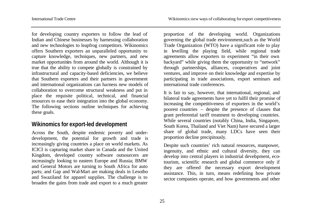for developing country exporters to follow the lead of Indian and Chinese businesses by harnessing collaboration and new technologies to leapfrog competitors. Wikinomics offers Southern exporters an unparalleled opportunity to capture knowledge, techniques, new partners, and new market opportunities from around the world. Although it is true that the ability to compete globally is constrained by infrastructural and capacity-based deficiencies, we believe that Southern exporters and their partners in government and international organizations can harness new models of collaboration to overcome structural weakness and put in place the requisite political, technical, and financial resources to ease their integration into the global economy. The following sections outline techniques for achieving these goals.

## **Wikinomics for export-led development**

Across the South, despite endemic poverty and underdevelopment, the potential for growth and trade is increasingly giving countries a place on world markets. As ICICI is capturing market share in Canada and the United Kingdom, developed country software outsourcers are increasingly looking to eastern Europe and Russia; BMW and General Motors are turning to South Africa for auto parts; and Gap and Wal-Mart are making deals in Lesotho and Swaziland for apparel supplies. The challenge is to broaden the gains from trade and export to a much greater

proportion of the developing world. Organizations governing the global trade environment,such as the World Trade Organization (WTO) have a significant role to play in levelling the playing field, while regional trade agreements allow exporters to experiment "in their own backyard" while giving them the opportunity to "network" through partnerships, alliances, cooperatives and joint ventures, and improve on their knowledge and expertise by participating in trade associations, export seminars and international trade conferences.

It is fair to say, however, that international, regional, and bilateral trade agreements have yet to fulfil their promise of increasing the competitiveness of exporters in the world's poorest countries – despite the presence of clauses that grant preferential tariff treatment to developing countries. While several countries (notably China, India, Singapore, South Korea, Thailand and Viet Nam) have secured a larger share of global trade, many LDCs have seen their proportion decline precipitously.

Despite such countries' rich natural resources, manpower, ingenuity, and ethnic and cultural diversity, they can develop into central players in industrial development, ecotourism, scientific research and global commerce only if they are offered the necessary export development assistance. This, in turn, means redefining how private sector companies operate, and how governments and other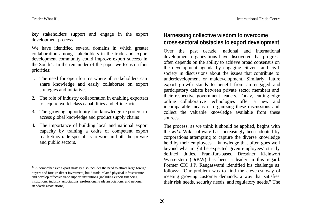key stakeholders support and engage in the export development process.

We have identified several domains in which greater collaboration among stakeholders in the trade and export development community could improve export success in the South<sup>20</sup>. In the remainder of the paper we focus on four priorities:

- 1. The need for open forums where all stakeholders can share knowledge and easily collaborate on export strategies and initiatives
- 2. The role of industry collaboration in enabling exporters to acquire world-class capabilities and efficiencies
- 3. The growing opportunity for knowledge exporters to access global knowledge and product supply chains
- 4. The importance of building local and national export capacity by training a cadre of competent export marketing/trade specialists to work in both the private and public sectors.

# **Harnessing collective wisdom to overcome cross-sectoral obstacles to export development**

Over the past decade, national and international development organizations have discovered that progress often depends on the ability to achieve broad consensus on the development agenda by engaging citizens and civil society in discussions about the issues that contribute to underdevelopment or maldevelopment. Similarly, future export growth stands to benefit from an engaged and participatory debate between private sector members and their respective government leaders. Today, cutting-edge online collaborative technologies offer a new and incomparable means of organizing these discussions and collect the valuable knowledge available from these sources.

The process, as we think it should be applied, begins with the *wiki*. Wiki software has increasingly been adopted by corporations attempting to capture the diverse knowledge held by their employees – knowledge that often goes well beyond what might be expected given employees' strictly defined duties. Frankfurt-based Dresdner Kleinwort Wasserstein (DrKW) has been a leader in this regard. Former CIO J.P. Rangaswami identified his challenge as follows: "Our problem was to find the cleverest way of meeting growing customer demands, a way that satisfies their risk needs, security needs, and regulatory needs." The

 $20$  A comprehensive export strategy also includes the need to attract large foreign buyers and foreign direct investment, build trade-related physical infrastructure, and develop effective trade support institutions (including export financing institutions, industry associations, professional trade associations, and national standards associations).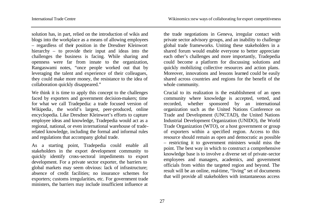solution has, in part, relied on the introduction of wikis and blogs into the workplace as a means of allowing employees – regardless of their position in the Dresdner Kleinwort hierarchy – to provide their input and ideas into the challenges the business is facing. While sharing and openness were far from innate to the organization, Rangaswami notes, "once people worked out that by leveraging the talent and experience of their colleagues, they could make more money, the resistance to the idea of collaboration quickly disappeared."

We think it is time to apply this concept to the challenges faced by exporters and government decision-makers; time for what we call Tradepedia: a trade focused version of Wikipedia*,* the world's largest, peer-produced, online encyclopedia. Like Dresdner Kleinwort's efforts to capture employee ideas and knowledge, Tradepedia would act as a regional, national, or even international warehouse of traderelated knowledge, including the formal and informal rules and regulations that accompany global trade.

As a starting point, Tradepedia could enable all stakeholders in the export development community to quickly identify cross-sectoral impediments to export development. For a private sector exporter, the barriers to global markets may seem obvious: lack of infrastructure; absence of credit facilities; no insurance schemes for exporters; customs irregularities, etc. For government trade ministers, the barriers may include insufficient influence at

the trade negotiations in Geneva, irregular contact with private sector advisory groups, and an inability to challenge global trade frameworks. Uniting these stakeholders in a shared forum would enable everyone to better appreciate each other's challenges and more importantly, Tradepedia could become a platform for discussing solutions and quickly mobilizing collective resources and action plans. Moreover, innovations and lessons learned could be easily shared across countries and regions for the benefit of the whole community.

Crucial to its realization is the establishment of an open community where knowledge is accepted, vetted, and recorded, whether sponsored by an international organization such as the United Nations Conference on Trade and Development (UNCTAD), the United Nations Industrial Development Organization (UNIDO), the World Trade Organization (WTO), or a host government or group of exporters within a specified region. Access to this resource should remain as open and democratic as possible – restricting it to government ministers would miss the point. The best way in which to construct a comprehensive knowledge base is to involve a diverse set of private-sector employees and managers, academics, and government officials from within the targeted region and beyond. The result will be an online, real-time, "living" set of documents that will provide all stakeholders with instantaneous access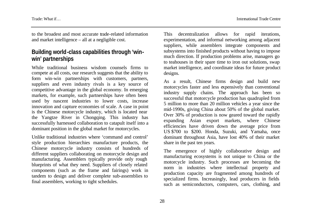to the broadest and most accurate trade-related information and market intelligence – all at a negligible cost.

# **Building world-class capabilities through 'winwin' partnerships**

While traditional business wisdom counsels firms to compete at all costs, our research suggests that the ability to form win-win partnerships with customers, partners, suppliers and even industry rivals is a key source of competitive advantage in the global economy. In emerging markets, for example, such partnerships have often been used by nascent industries to lower costs, increase innovation and capture economies of scale. A case in point is the Chinese motorcycle industry, which is located near the Yangtze River in Chongqing. This industry has successfully harnessed collaboration to catapult itself into a dominant position in the global market for motorcycles.

Unlike traditional industries where 'command and control' style production hierarchies manufacture products, the Chinese motorcycle industry consists of hundreds of different suppliers collaborating on motorcycle design and manufacturing. Assemblers typically provide only rough blueprints of what they need. Suppliers of closely related components (such as the frame and fairings) work in tandem to design and deliver complete sub-assemblies to final assemblers, working to tight schedules.

This decentralization allows for rapid iterations, experimentation, and informal networking among adjacent suppliers, while assemblers integrate components and subsystems into finished products without having to impose much direction. If production problems arise, managers go to teahouses in their spare time to iron out solutions, swap market intelligence, and coordinate ideas for future product designs.

As a result, Chinese firms design and build new motorcycles faster and less expensively than conventional industry supply chains. The approach has been so successful that motorcycle production has quadrupled from 5 million to more than 20 million vehicles a year since the mid-1990s, giving China about 50% of the global market. Over 30% of production is now geared toward the rapidly expanding Asian export markets, where Chinese efficiencies have driven down the average price from US \$700 to \$200. Honda, Suzuki, and Yamaha, once dominant throughout Asia, have lost 40% of their market share in the past ten years.

The emergence of highly collaborative design and manufacturing ecosystems is not unique to China or the motorcycle industry. Such processes are becoming the norm in industries where intellectual property and production capacity are fragmented among hundreds of specialized firms. Increasingly, lead producers in fields such as semiconductors, computers, cars, clothing, and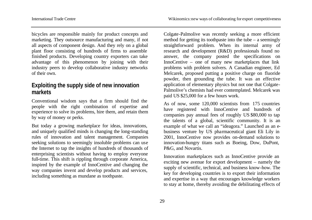bicycles are responsible mainly for product concepts and marketing. They outsource manufacturing and many, if not all aspects of component design. And they rely on a global plant floor consisting of hundreds of firms to assemble finished products. Developing country exporters can take advantage of this phenomenon by joining with their industry peers to develop collaborative industry networks of their own.

# **Exploiting the supply side of new innovation markets**

Conventional wisdom says that a firm should find the people with the right combination of expertise and experience to solve its problems, hire them, and retain them by way of money or perks.

But today a growing marketplace for ideas, innovations, and uniquely qualified minds is changing the long-standing rules of innovation and talent management. Companies seeking solutions to seemingly insoluble problems can use the Internet to tap the insights of hundreds of thousands of enterprising scientists without having to employ everyone full-time. This shift is rippling through corporate America, inspired by the example of InnoCentive and changing the way companies invent and develop products and services, including something as mundane as toothpaste.

Colgate-Palmolive was recently seeking a more efficient method for getting its toothpaste into the tube – a seemingly straightforward problem. When its internal army of research and development (R&D) professionals found no answer, the company posted the specifications on InnoCentive – one of many new marketplaces that link problems with problem solvers. A Canadian engineer, Ed Melcarek, proposed putting a positive charge on fluoride powder, then grounding the tube. It was an effective application of elementary physics but not one that Colgate-Palmolive's chemists had ever contemplated. Melcarek was paid US \$25,000 for a few hours work.

As of now, some 120,000 scientists from 175 countries have registered with InnoCentive and hundreds of companies pay annual fees of roughly US \$80,000 to tap the talents of a global, scientific community. It is an example of what we call an "ideagora." Launched as an ebusiness venture by US pharmaceutical giant Eli Lily in 2001, InnoCentive now provides on-demand solutions to innovation-hungry titans such as Boeing, Dow, DuPont, P&G, and Novartis.

Innovation marketplaces such as InnoCentive provide an exciting new avenue for export development – namely the supply of scientific, technical, and business know-how. The key for developing countries is to export their information and expertise in a way that encourages knowledge workers to stay at home, thereby avoiding the debilitating effects of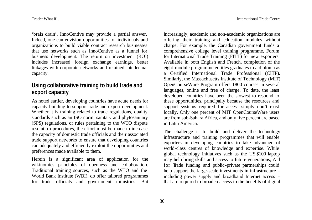'brain drain'. InnoCentive may provide a partial answer. Indeed, one can envision opportunities for individuals and organizations to build viable contract research businesses that use networks such as InnoCentive as a funnel for business development. The return on investment (ROI) includes increased foreign exchange earnings, better linkages with corporate networks and retained intellectual capacity.

# **Using collaborative training to build trade and export capacity**

As noted earlier, developing countries have acute needs for capacity-building to support trade and export development. Whether it is training related to trade regulations, quality standards such as an ISO norm, sanitary and phytosanitary (SPS) regulations, or rules pertaining to the WTO dispute resolution procedures, the effort must be made to increase the capacity of domestic trade officials and their associated trade support networks to ensure that developing countries can adequately and efficiently exploit the opportunities and preferences made available to them.

Herein is a significant area of application for the wikinomics principles of openness and collaboration. Traditional training sources, such as the WTO and the World Bank Institute (WBI), do offer tailored programmes for trade officials and government ministries. But

increasingly, academic and non-academic organizations are offering their training and education modules without charge. For example, the Canadian government funds a comprehensive college level training programme, Forum for International Trade Training (FITT) for new exporters. Available in both English and French, completion of the eight-module programme entitles graduates to a diploma as a Certified International Trade Professional (CITP). Similarly, the Massachusetts Institute of Technology (MIT) OpenCourseWare Program offers 1800 courses in several languages, online and free of charge. To date, the least developed countries have been the slowest to respond to these opportunities, principally because the resources and support systems required for access simply don't exist locally. Only one percent of MIT OpenCourseWare users are from sub-Sahara Africa, and only five percent are based in Latin America.

The challenge is to build and deliver the technology infrastructure and training programmes that will enable exporters in developing countries to take advantage of world-class centres of knowledge and expertise. While global technology initiatives such as the US \$100 laptop may help bring skills and access to future generations, Aid for Trade funding and public -private partnerships could help support the large-scale investments in infrastructure – including power supply and broadband Internet access – that are required to broaden access to the benefits of digital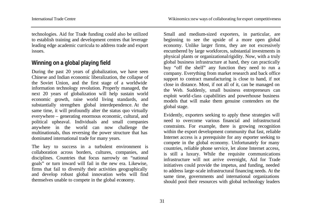technologies. Aid for Trade funding could also be utilized to establish training and development centres that leverage leading edge academic curricula to address trade and export issues.

# **Winning on a global playing field**

During the past 20 years of globalization, we have seen Chinese and Indian economic liberalization, the collapse of the Soviet Union, and the first stage of a worldwide information technology revolution. Properly managed, the next 20 years of globalization will help sustain world economic growth, raise world living standards, and substantially strengthen global interdependence. At the same time, it will profoundly alter the status quo virtually everywhere – generating enormous economic, cultural, and political upheaval. Individuals and small companies anywhere in the world can now challenge the multinationals, thus reversing the power structure that has dominated international trade for many years.

The key to success in a turbulent environment is collaboration across borders, cultures, companies, and disciplines. Countries that focus narrowly on "national goals" or turn inward will fail in the new era. Likewise, firms that fail to diversify their activities geographically and develop robust global innovation webs will find themselves unable to compete in the global economy.

Small and medium-sized exporters, in particular, are beginning to see the upside of a more open global economy. Unlike larger firms, they are not excessively encumbered by large workforces, substantial investments in physical plants or organizational rigidity. Now, with a truly global business infrastructure at hand, they can practically buy "off the shelf" any function they need to run a company. Everything from market research and back office support to contract manufacturing is close to hand, if not close in distance. Most, if not all of it, can be managed on the Web. Suddenly, small business entrepreneurs can exploit world-class capabilities and powerhouse business models that will make them genuine contenders on the global stage.

Evidently, exporters seeking to apply these strategies will need to overcome various financial and infrastructural constraints. For example, there is growing recognition within the export development community that fast, reliable Internet access is a prerequisite for any exporter seeking to compete in the global economy. Unfortunately for many countries, reliable phone service, let alone Internet access, is still a luxury. While the requisite communications infrastructure will not arrive overnight, Aid for Trade initiatives could provide the impetus, and funding, needed to address large-scale infrastructural financing needs. At the same time, governments and international organizations should pool their resources with global technology leaders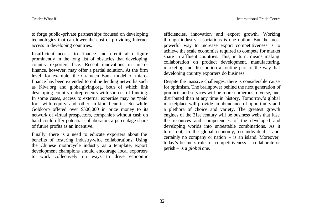to forge public -private partnerships focused on developing technologies that can lower the cost of providing Internet access in developing countries.

Insufficient access to finance and credit also figure prominently in the long list of obstacles that developing country exporters face. Recent innovations in microfinance, however, may offer a partial solution. At the firm level, for example, the Grameen Bank model of microfinance has been extended to online lending networks such as Kiva.org and globalgiving.org, both of which link developing country entrepreneurs with sources of funding. In some cases, access to external expertise may be "paid for" with equity and other in-kind benefits. So while Goldcorp offered over \$500,000 in prize money to its network of virtual prospectors, companie s without cash on hand could offer potential collaborators a percentage share of future profits as an incentive.

Finally, there is a need to educate exporters about the benefits of fostering industry-wide collaborations. Using the Chinese motorcycle industry as a template, export development champions should encourage local exporters to work collectively on ways to drive economic efficiencies, innovation and export growth. Working through industry associations is one option. But the most powerful way to increase export competitiveness is to achieve the scale economies required to compete for market share in affluent countries. This, in turn, means making collaboration on product development, manufacturing, marketing and distribution a routine part of the way that developing country exporters do business.

Despite the massive challenges, there is considerable cause for optimism. The brainpower behind the next generation of products and services will be more numerous, diverse, and distributed than at any time in history. Tomorrow's global marketplace will provide an abundance of opportunity and a plethora of choice and variety. The greatest growth engines of the 21st century will be business webs that fuse the resources and competencies of the developed and developing worlds into unbeatable combinations. As it turns out, in the global economy, no individual – and certainly no company or nation – is an island. Moreover, today's business rule for competitiveness – collaborate or perish – is a *global* one.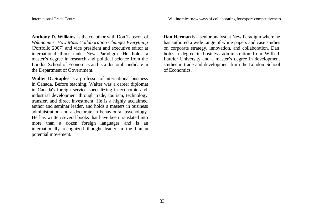**Anthony D. Williams** is the coauthor with Don Tapscott of *Wikinomics: How Mass Collaboration Changes Everything*  (Portfolio 2007) and vice president and executive editor at international think tank, New Paradigm. He holds a master's degree in research and political science from the London School of Economics and is a doctoral candidate in the Department of Government.

**Walter D. Staples** is a professor of international business in Canada. Before teaching, Walter was a career diplomat in Canada's foreign service specializ ing in economic and industrial development through trade, tourism, technology transfer, and direct investment. He is a highly acclaimed author and seminar leader, and holds a masters in business administration and a doctorate in behavioural psychology. He has written several books that have been translated into more than a dozen foreign languages and is an internationally recognized thought leader in the human potential movement.

**Dan Herman** is a senior analyst at New Paradigm where he has authored a wide range of white papers and case studies on corporate strategy, innovation, and collaboration. Dan holds a degree in business administration from Wilfrid Laurier University and a master's degree in development studies in trade and development from the London School of Economics.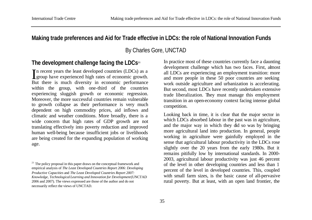## **Making trade preferences and Aid for Trade effective in LDCs: the role of National Innovation Funds**

By Charles Gore, UNCTAD

#### **The development challenge facing the LDCs<sup>21</sup>**

In recent years the least developed countries (LDCs) as a group have experienced high rates of economic growth. group have experienced high rates of economic growth. But there is much diversity in economic performance within the group, with one-third of the countries experiencing sluggish growth or economic regression. Moreover, the more successful countries remain vulnerable to growth collapse as their performance is very much dependent on high commodity prices, aid inflows and climatic and weather conditions. More broadly, there is a wide concern that high rates of GDP growth are not translating effectively into poverty reduction and improved human well-being because insufficient jobs or livelihoods are being created for the expanding population of working age.

In practice most of these countries currently face a daunting development challenge which has two faces. First, almost all LDCs are experiencing an employment transition: more and more people in these 50 poor countries are seeking work outside agriculture and urbanization is accelerating. But second, most LDCs have recently undertaken extensive trade liberalization. They must manage this employment transition in an open-economy context facing intense global competition.

Looking back in time, it is clear that the major sector in which LDCs absorbed labour in the past was in agriculture, and the major way in which they did so was by bringing more agricultural land into production. In general, people working in agriculture were gainfully employed in the sense that agricultural labour productivity in the LDCs rose slightly over the 20 years from the early 1980s. But it remains pitifully low by international standards. In 2000- 2003, agricultural labour productivity was just 46 percent of the level in other developing countries and less than 1 percent of the level in developed countries. This, coupled with small farm sizes, is the basic cause of all-pervasive rural poverty. But at least, with an open land frontier, the

 $21$  The policy proposal in this paper draws on the conceptual framework and empirical analysis of *The Least Developed Countries Report 2006: Developing Productive Capacities* and *The Least Developed Countries Report 2007: Knowledge, Technological Learning and Innovation for Development* (UNCTAD 2006 and 2007). The views expressed are those of the author and do not necessarily reflect the views of UNCTAD.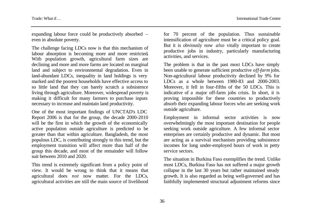expanding labour force could be productively absorbed – even in absolute poverty.

The challenge facing LDCs now is that this mechanism of labour absorption is becoming more and more restricted**.** With population growth, agricultural farm sizes are declining and more and more farms are located on marginal land and subject to environmental degradation. Even in land-abundant LDCs, inequality in land holdings is very marked and the poorest households have effective access to so little land that they can barely scratch a subsistence living through agriculture. Moreover, widespread poverty is making it difficult for many farmers to purchase inputs necessary to increase and maintain land productivity.

One of the most important findings of UNCTAD's LDC Report 2006 is that for the group, the decade 2000-2010 will be the first in which the growth of the economically active population outside agriculture is predicted to be greater than that within agriculture. Bangladesh, the most populous LDC, is contributing strongly to this trend, but the employment transition will affect more than half of the group this decade, and most of the remainder will follow suit between 2010 and 2020.

This trend is extremely significant from a policy point of view. It would be wrong to think that it means that agricultural does *not* now matter. For the LDCs, agricultural activities are still the main source of livelihood

for 70 percent of the population. Thus sustainable intensification of agriculture must be a critical policy goal. But it is obviously now *also* vitally important to create productive jobs in industry, particularly manufacturing activities, and services.

The problem is that in the past most LDCs have simply been unable to generate sufficient productive *off-farm* jobs. Non-agricultural labour productivity declined by 9% for LDCs as a whole between 1980-83 and 2000-2003. Moreover, it fell in four-fifths of the 50 LDCs. This is indicative of a major off-farm jobs crisis. In short, it is proving impossible for these countries to productively absorb their expanding labour forces who are seeking work outside agriculture.

Employment in informal sector activities is now overwhelmingly the most important destination for people seeking work outside agriculture. A few informal sector enterprises are certainly productive and dynamic. But most are acting as a survival mechanism providing subsistence incomes for long under-employed hours of work in petty service sectors.

The situation in Burkina Faso exemplifies the trend. Unlike most LDCs, Burkina Faso has not suffered a major growth collapse in the last 30 years but rather maintained steady growth. It is also regarded as being well-governed and has faithfully implemented structural adjustment reforms since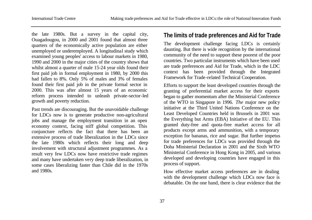the late 1980s. But a survey in the capital city, Ouagadougou, in 2000 and 2001 found that almost three quarters of the economically active population are either unemployed or underemployed. A longitudinal study which examined young peoples' access to labour markets in 1980, 1990 and 2000 in the major cities of the country shows that whilst almost a quarter of male 15-24 year olds found their first paid job in formal employment in 1980, by 2000 this had fallen to 8%. Only 5% of males and 3% of females found their first paid job in the private formal sector in 2000. This was after almost 15 years of an economic reform process intended to unleash private-sector-led growth and poverty reduction.

Past trends are discouraging. But the unavoidable challenge for LDCs now is to generate productive non-agricultural jobs and manage the employment transition in an open economy context, facing stiff global competition. This conjuncture reflects the fact that there has been an extensive process of trade liberalization in the LDCs since the late 1980s which reflects their long and deep involvement with structural adjustment programmes. As a result very few LDCs now have restrictive trade regimes and many have undertaken very deep trade liberalization, in some cases liberalizing faster than Chile did in the 1970s and 1980s.

### **The limits of trade preferences and Aid for Trade**

The development challenge facing LDCs is certainly daunting. But there is wide recognition by the international community of the need to support these poorest of the poor countries. Two particular instruments which have been used are trade preferences and Aid for Trade, which in the LDC context has been provided through the Integrated Framework for Trade-related Technical Cooperation.

Efforts to support the least developed countries through the granting of preferential market access for their exports began to gather momentum after the Ministerial Conference of the WTO in Singapore in 1996. *The* major new policy initiative at the Third United Nations Conference on the Least Developed Countries held in Brussels in 2001 was the Everything but Arms (EBA) Initiative of the EU. This granted duty-free and quota-free market access for all products except arms and ammunition, with a temporary exception for bananas, rice and sugar. But further impetus for trade preferences for LDCs was provided through the Doha Ministerial Declaration in 2001 and the Sixth WTO Ministerial Conference in Hong Kong in 2005, and various developed and developing countries have engaged in this process of support.

How effective market access preferences are in dealing with the development challenge which LDCs now face is debatable. On the one hand, there is clear evidence that the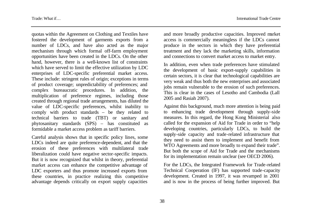quotas within the Agreement on Clothing and Textiles have fostered the development of garments exports from a number of LDCs, and have also acted as the major mechanism through which formal off-farm employment opportunities have been created in the LDCs. On the other hand, however, there is a well-known list of constraints which have served to limit the effective utilization by LDC enterprises of LDC-specific preferential market access. These include: stringent rules of origin; exceptions in terms of product coverage; unpredictability of preferences; and complex bureaucratic procedures. In addition, the multiplication of preference regimes, including those created through regional trade arrangements, has diluted the value of LDC-specific preferences, whilst inability to comply with product standards – be they related to technical barriers to trade (TBT) or sanitary and phytosanitary standards (SPS) – has constituted as formidable a market access problem as tariff barriers.

Careful analysis shows that in specific policy lines, some LDCs indeed are quite preference-dependent, and that the erosion of these preferences with multilateral trade liberalization could have negative sector-specific impacts. But it is now recognized that whilst in theory, preferential market access can enhance the competitive advantage of LDC exporters and thus promote increased exports from these countries, in practice realizing this competitive advantage depends critically on export supply capacities

and more broadly productive capacities. Improved market access is commercially meaningless if the LDCs cannot produce in the sectors in which they have preferential treatment and they lack the marketing skills, information and connections to convert market access to market entry.

In addition, even when trade preferences have stimulated the development of basic export-supply capabilities in certain sectors, it is clear that technological capabilities are very weak and thus both the new enterprises and associated jobs remain vulnerable to the erosion of such preferences. This is clear in the cases of Lesotho and Cambodia (Lall 2005 and Rasiah 2007).

Against this background, much more attention is being paid to enhancing trade development through supply-side measures. In this regard, the Hong Kong Ministerial also called for the expansion of Aid for Trade in order to "help developing countries, particularly LDCs, to build the supply-side capacity and trade-related infrastructure that they need to assist them to implement and benefit from WTO Agreements and more broadly to expand their trade". But both the scope of Aid for Trade and the mechanisms for its implementation remain unclear (see OECD 2006).

For the LDCs, the Integrated Framework for Trade-related Technical Cooperation (IF) has supported trade-capacity development. Created in 1997, it was revamped in 2001 and is now in the process of being further improved. But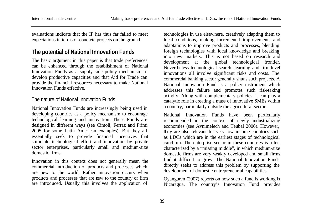evaluations indicate that the IF has thus far failed to meet expectations in terms of concrete projects on the ground.

# **The potential of National Innovation Funds**

The basic argument in this paper is that trade preferences can be enhanced through the establishment of National Innovation Funds as a supply-side policy mechanism to develop productive capacities and that Aid for Trade can provide the financial resources necessary to make National Innovation Funds effective.

#### The nature of National Innovation Funds

National Innovation Funds are increasingly being used in developing countries as a policy mechanism to encourage technological learning and innovation. These Funds are designed in different ways (see Cimoli, Ferraz and Primi 2005 for some Latin American examples). But they all essentially seek to provide financial incentives that stimulate technological effort and innovation by private sector enterprises, particularly small and medium-size domestic firms.

Innovation in this context does not generally mean the commercial introduction of products and processes which are new to the world. Rather innovation occurs when products and processes that are new to the country or firm are introduced. Usually this involves the application of

technologies in use elsewhere, creatively adapting them to local conditions, making incremental improvements and adaptations to improve products and processes, blending foreign technologies with local knowledge and breaking into new markets. This is not based on research and development at the global technological frontier. Nevertheless technological search, learning and firm-level innovations all involve significant risks and costs. The commercial banking sector generally shuns such projects. A National Innovation Fund is a policy instrument which addresses this failure and promotes such risk-taking activity. Along with complementary policies, it can play a catalytic role in creating a mass of innovative SMEs within a country, particularly outside the agricultural sector.

National Innovation Funds have been particularly recommended in the context of newly industrializing economies (see Avnimelech and Teubal 2006). However, they are also relevant for very low-income countries such as LDCs which are in the earliest stages of technological catch-up. The enterprise sector in these countries is often characterized by a "missing middle", in which medium-size domestic firms are very weakly developed and small firms find it difficult to grow. The National Innovation Funds directly seeks to address this problem by supporting the development of domestic entrepreneurial capabilities.

Oyanguren (2007) reports on how such a fund is working in Nicaragua. The country's Innovation Fund provides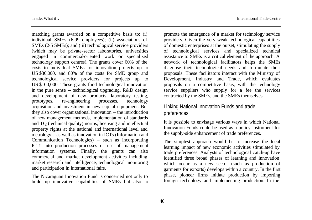matching grants awarded on a competitive basis to: (i) individual SMEs (6-99 employees); (ii) associations of SMEs (2-5 SMEs); and (iii) technological service providers (which may be private-sector laboratories, universities engaged in commercial-oriented work or specialized technology support centres). The grants cover 60% of the costs to individual SMEs for innovation projects up to US \$30,000, and 80% of the costs for SME group and technological service providers for projects up to US \$100,000. These grants fund technological innovation in the pure sense – technological upgrading, R&D design and development of new products, laboratory testing, prototypes, re-engineering processes, technology acquisition and investment in new capital equipment. But they also cover organizational innovation – the introduction of new management methods, implementation of standards and TQ (technical quality) norms, licensing and intellectual property rights at the national and international level and metrology – as well as innovation in ICTs (Information and Communication Technologies) – such as incorporating ICTs into production processes or use of management information systems. Finally, the grants can also commercial and market development activities including market research and intelligence, technological monitoring and participation in international fairs.

The Nicaraguan Innovation Fund is concerned not only to build up innovative capabilities of SMEs but also to promote the emergence of a market for technology service providers. Given the very weak technological capabilities of domestic enterprises at the outset, stimulating the supply of technological services and specialized technical assistance to SMEs is a critical element of the approach. A network of technological facilitators helps the SMEs diagnose their technological needs and formulate their proposals. These facilitators interact with the Ministry of Development, Industry and Trade, which evaluates proposals on a competitive basis, with the technology service suppliers who supply for a fee the services contracted by the SMEs, and the SMEs themselves.

### Linking National Innovation Funds and trade preferences

It is possible to envisage various ways in which National Innovation Funds could be used as a policy instrument for the supply-side enhancement of trade preferences.

The simplest approach would be to increase the local learning impact of new economic activities stimulated by trade preferences. Analysts of technological catch-up have identified three broad phases of learning and innovation which occur as a new sector (such as production of garments for exports) develops within a country. In the first phase, pioneer firms initiate production by importing foreign technology and implementing production. In the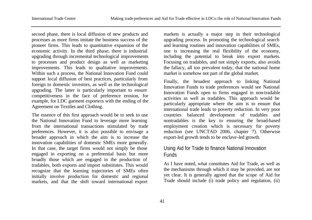second phase, there is local diffusion of new products and processes as more firms imitate the business success of the pioneer firms. This leads to quantitative expansion of the economic activity. In the third phase, there is industrial upgrading through incremental technological improvements to processes and product design as well as marketing improvements. This leads to qualitative improvements. Within such a process, the National Innovation Fund could support local diffusion of best practices, particularly from foreign to domestic investors, as well as the technological upgrading. The latter is particularly important to ensure competitiveness in the face of preference erosion, for example, for LDC garment exporters with the ending of the Agreement on Textiles and Clothing.

The essence of this first approach would be to seek to use the National Innovation Fund to leverage more learning from the international transactions stimulated by trade preferences. However, it is also possible to envisage a broader approach in which the aim is to increase the innovation capabilities of domestic SMEs more generally. In that case, the target firms would not simply be those engaged in exporting on a preferential basis but more broadly those which are engaged in the production of tradables, both exports and import substitutes. This would recognize that the learning trajectories of SMEs often initially involve production for domestic and regional markets, and that the shift toward international export

markets is actually a major step in their technological upgrading process. In promoting the technological search and learning routines and innovation capabilities of SMEs, one is increasing the real flexibility of the economy, including the potential to break into export markets. Focusing on tradables, and not simply exports, also avoids the fallacy, all too prevalent today, that the national home market is somehow not part of the global market.

Finally, the broadest approach to linking National Innovation Funds to trade preferences would see National Innovation Funds open to firms engaged in non-tradable activities as well as tradables. This approach would be particularly appropriate where the aim is to ensure that international trade leads to poverty reduction. In very poor countries balanced development of tradables and nontradables is the key to ensuring the broad-based employment creation which is necessary for poverty reduction (see UNCTAD 2006, chapter 7). Otherwise export-led growth tends to be enclave-led growth.

### Using Aid for Trade to finance National Innovation Funds

As I have noted, what constitutes Aid for Trade, as well as the mechanisms through which it may be provided, are not yet clear. It is generally agreed that the scope of Aid for Trade should include (i) trade policy and regulation, (ii)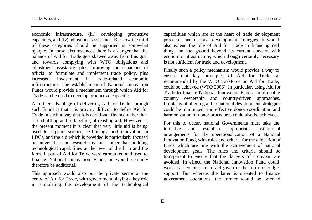economic infrastructure, (iii) developing productive capacities, and (iv) adjustment assistance. But how the third of these categories should be supported is somewhat opaque. In these circumstances there is a danger that the balance of Aid for Trade gets skewed away from this goal and towards complying with WTO obligations and adjustment assistance, plus improving the capacities of official to formulate and implement trade policy, plus increased investment in trade-related economic infrastructure. The establishment of National Innovation Funds would provide a mechanism through which Aid for Trade can be used to develop productive capacities.

A further advantage of delivering Aid for Trade through such Funds is that it is proving difficult to define Aid for Trade in such a way that it is additional finance rather than a re-shuffling and re-labelling of existing aid. However, at the present moment it is clear that very little aid is being used to support science, technology and innovation in LDCs, and the aid which is provided is particularly focused on universities and research institutes rather than building technological capabilities at the level of the firm and the farm. If part of Aid for Trade were earmarked and used to finance National Innovation Funds, it would certainly therefore be additional.

This approach would also put the private sector at the centre of Aid for Trade, with government playing a key role in stimulating the development of the technological capabilities which are at the heart of trade development processes and national development strategies. It would also extend the role of Aid for Trade in financing real things on the ground beyond its current concern with economic infrastructure, which though certainly necessary is not sufficient for trade and development.

Finally such a policy mechanism would provide a way to ensure that key principles of Aid for Trade, as recommended by the WTO Taskforce on Aid for Trade, could be achieved (WTO 2006). In particular, using Aid for Trade to finance National Innovation Funds could enable country ownership and country-driven approaches. Problems of aligning aid to national development strategies could be minimized, and effective donor coordination and harmonization of donor procedures could also be achieved.

For this to occur, national Governments must take the initiative and establish appropriate institutional arrangements for the operationalization of a National Innovation Fund, with rules and criteria for the allocation of funds which are line with the achievement of national development goals. The rules and criteria should be transparent to ensure that the dangers of cronyism are avoided. In effect, the National Innovation Fund could work as a counterpart to aid given in the form of budget support. But whereas the latter is oriented to finance government operations, the former would be oriented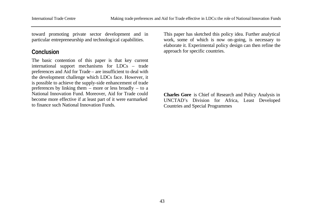toward promoting private sector development and in particular entrepreneurship and technological capabilities.

# **Conclusion**

The basic contention of this paper is that key current international support mechanisms for LDCs – trade preferences and Aid for Trade – are insufficient to deal with the development challenge which LDCs face. However, it is possible to achieve the supply-side enhancement of trade preferences by linking them – more or less broadly – to a National Innovation Fund. Moreover, Aid for Trade could become more effective if at least part of it were earmarked to finance such National Innovation Funds.

This paper has sketched this policy idea. Further analytical work, some of which is now on-going, is necessary to elaborate it. Experimental policy design can then refine the approach for specific countries.

**Charles Gore** is Chief of Research and Policy Analysis in UNCTAD's Division for Africa, Least Developed Countries and Special Programmes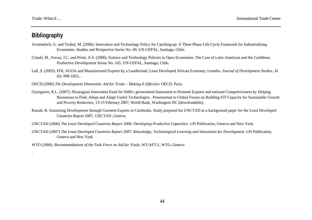# **Bibliography**

.

- Avnimelech, G. and Teubal, M. (2006). Innovation and Technology Policy for Catching-up: A Three Phase Life Cycle Framwork for Industrializing Economies. Studies and Perspective Series No. 69, UN-CEPAL, Santiago, Chile.
- Cimoli, M., Ferraz, J.C. and Primi, A.S. (2006). Science and Technology Policies in Open Economies: The Case of Latin American and the Caribbean. Productive Development Series No. 165, UN-CEPAL, Santiago, Chile.
- Lall, S. (2005). FDI, AGOA and Manufactured Exports by a Landlocked, Least Developed African Economy: Lesotho. *Journal of Development Studies*, 41 (6): 998-1022.,
- OECD (2006) *The Development Dimension: Aid for Trade Making It Effective*. OECD, Paris.
- Oyanguren, R.L. (2007). Nicaraguan Innovation Fund for SMEs: government Instrument to Promote Exports and national Competitiveness by Helping Businesses to Find, Adopt and Adapt Useful Technologies . Presentation to Global Forum on Building STI Capacity for Sustainable Growth and Poverty Reduction, 13-15 February 2007, World Bank, Washington DC (downloadable).
- Rasiah, R. Sustaining Development through Garment Exports in Cambodia. Study prepared for UNCTAD as a background paper for the Least Developed Countries Report 2007, UNCTAD ,Geneva.
- UNCTAD (2006) *The Least Developed Countries Report 2006: Developing Productive Capacities*. UN Publication, Geneva and New York.
- UNCTAD (2007) *The Least Developed Countries Report 2007: Knowledge, Technological Learning and Innovation for Development*. UN Publication, Geneva and New York.

WTO (2006). *Recommendations of the Task Force on Aid for Trade*, WT/AFT/1, WTO, Geneva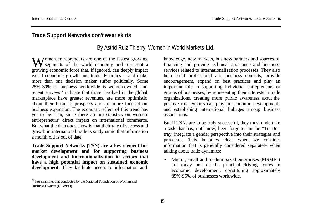# **Trade Support Networks don't wear skirts**

By Astrid Ruiz Thierry, Women in World Markets Ltd.

omen entrepreneurs are one of the fastest growing Women entrepreneurs are one of the fastest growing<br>segments of the world economy and represent a growing economic force that, if ignored, can deeply impact world economic growth and trade dynamics – and make more than one decision maker suffer politically. Some 25%-30% of business worldwide is women-owned, and recent surveys<sup>22</sup> indicate that those involved in the global marketplace have greater revenues, are more optimistic about their business prospects and are more focused on business expansion. The economic effect of this trend has yet to be seen, since there are no statistics on women entrepreneurs' direct impact on international commerce. But what the data *does* show is that their rate of success and growth in international trade is so dynamic that information a month old is out of date.

**Trade Support Networks (TSN) are a key element for market development and for supporting business development and internationalization in sectors that have a high potential impact on sustained economic development.** They facilitate access to information and

knowledge, new markets, business partners and sources of financing and provide technical assistance and business services related to internationalization processes. They also help build professional and business contacts, provide encouragement, expand on best practices and play an important role in supporting individual entrepreneurs or groups of businesses, by representing their interests in trade organizations, creating more public awareness about the positive role exports can play in economic development, and establishing international linkages among business associations.

But if TSNs are to be truly successful, they must undertake a task that has, until now, been forgotten in the "To Do" tray: integrate a gender perspective into their strategies and processes. This becomes clear when we consider information that is generally considered separately when talking about trade dynamics:

• Micro-, small and medium-sized enterprises (MSMEs) are today one of the principal driving forces in economic development, constituting approximately 85%-95% of businesses worldwide.

 $22$  For example, that conducted by the National Foundation of Women and Business Owners (NFWBO)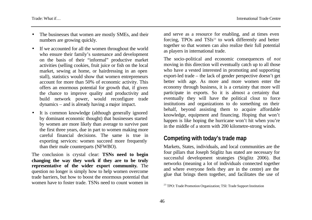- The businesses that women are mostly SMEs, and their numbers are growing quickly.
- If we accounted for all the women throughout the world who ensure their family's sustenance and development on the basis of their "informal" productive market activities (selling cookies, fruit juice or fish on the local market, sewing at home, or hairdressing in an open stall), statistics would show that women entrepreneurs account for more than 50% of economic activity. This offers an enormous potential for growth that, if given the chance to improve quality and productivity and build network power, would reconfigure trade dynamics – and is already having a major impact.
- It is common knowledge (although generally ignored by dominant economic thought) that businesses started by women are more likely than average to survive past the first three years, due in part to women making more careful financial decisions. The same is true in exporting services: women succeed more frequently than their male counterparts (NFWBO).

The conclusion is crystal clear: **TSNs need to begin changing the way they work if they are to be truly representative of the wider export community.** The question no longer is simply how to help women overcome trade barriers, but how to boost the enormous potential that women have to foster trade. TSNs need to count women in

and serve as a resource for enabling, and at times even forcing, TPOs and TSIs <sup>23</sup> to work differently and better together so that women can also realize their full potential as players in international trade.

The socio-political and economic consequences of *not* moving in this direction will eventually catch up to all those who have a vested interested in promoting and supporting export-led trade – the lack of gender perspective doesn't get better with age. As more and more women enter the economy through business, it is a certainty that more will participate in exports. So it is almost a certainty that eventually they will have the political clout to force institutions and organizations to do something on their behalf, beyond assisting them to acquire affordable knowledge, equipment and financing. Hoping that won't happen is like hoping the hurricane won't hit when you're in the middle of a storm with 200 kilometre-strong winds.

# **Competing with today's trade map**

Markets, States, individuals, and local communities are the four pillars that Joseph Stiglitz has stated are necessary for successful development strategies (Stiglitz 2006). But networks (meaning a lot of individuals connected together and where everyone feels they are in the centre) are the glue that brings them together, and facilitates the use of

<sup>&</sup>lt;sup>23</sup> TPO: Trade Promotion Organization; TSI: Trade Support Institution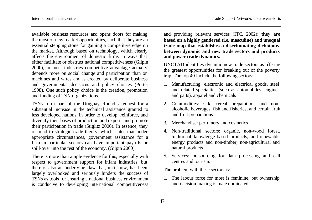available business resources and opens doors for making the most of new market opportunities, such that they are an essential stepping stone for gaining a competitive edge on the market. Although based on technology, which clearly affects the environment of domestic firms in ways that either facilitate or obstruct national competitiveness (Gilpin 2000), in most industries competitive advantage actually depends more on social change and participation than on machines and wires and is created by deliberate business and governmental decisions and policy choices (Porter 1998). One such policy choice is the creation, promotion and funding of TSN organizations.

TSNs form part of the Uruguay Round's request for a substantial increase in the technical assistance granted to less developed nations, in order to develop, reinforce, and diversify their bases of production and exports and promote their participation in trade (Stiglitz 2006). In essence, they respond to strategic trade theory, which states that under appropriate circumstances, government assistance for a firm in particular sectors can have important payoffs or spill-over into the rest of the economy. (Gilpin 2000).

There is more than ample evidence for this, especially with respect to government support for infant industries, but there is also an underlying flaw that, until now, has been largely overlooked and seriously hinders the success of TSNs as tools for ensuring a national business environment is conducive to developing international competitiveness

and providing relevant services (ITC, 2002): **they are based on a highly gendered (i.e. masculine) and unequal trade map that establishes a discriminating dichotomy between dynamic and new trade sectors and products and power trade dynamics.**

UNCTAD identifies dynamic new trade sectors as offering the greatest opportunities for breaking out of the poverty trap. The top 40 include the following sectors:

- 1. Manufacturing: electronic and electrical goods, steel and related specialties (such as automobiles, engines and parts), apparel and chemicals
- 2. Commodities: silk, cereal preparations and nonalcoholic beverages, fish and fisheries, and certain fruit and fruit preparations
- 3. Merchandise: perfumery and cosmetics
- 4. Non-traditional sectors: organic, non-wood forest, traditional knowledge-based products, and renewable energy products and non-timber, non-agricultural and natural products
- 5. Services: outsourcing for data processing and call centres and tourism.

The problem with these sectors is:

1. The labour force for most is feminine, but ownership and decision-making is male dominated.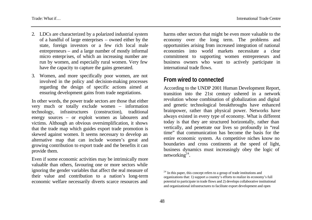- 2. LDCs are characterized by a polarized industrial system of a handful of large enterprises – owned either by the state, foreign investors or a few rich local male entrepreneurs – and a large number of mostly informal micro enterprises, of which an increasing number are run by women, and especially rural women. Very few have the capacity to capture the gains generated.
- 3. Women, and more specifically poor women, are not involved in the policy and decision-making processes regarding the design of specific actions aimed at ensuring development gains from trade negotiations.

In other words, the power trade sectors are those that either very much or totally exclude women – information technology, infrastructures (construction), traditional energy sources – or exploit women as labourers and victims. Although an obvious oversimplification, it shows that the trade map which guides export trade promotion is skewed against women. It seems necessary to develop an alternative map that can include women's great and growing contribution to export trade and the benefits it can provide them.

Even if some economic activities may be intrinsically more valuable than others, favouring one or more sectors while ignoring the gender variables that affect the real measure of their value and contribution to a nation's long-term economic welfare necessarily diverts scarce resources and

harms other sectors that might be even more valuable to the economy over the long term. The problems and opportunities arising from increased integration of national economies into world markets necessitate a clear commitment to supporting women entrepreneurs and business owners who want to actively participate in international trade flows.

#### **From wired to connected**

According to the UNDP 2001 Human Development Report, transition into the 21st century ushered in a network revolution whose combination of globalization and digital and genetic technological breakthroughs have enhanced brainpower, rather than physical power. Networks have always existed in every type of economy. What is different today is that they are structured horizontally, rather than vertically, and penetrate our lives so profoundly in "real time" that communication has become the basis for the entire economic system. As competitive niches know no boundaries and cross continents at the speed of light, business dynamics must increasingly obey the logic of networking $24$ .

 $24$  In this paper, this concept refers to a group of trade institutions and organizations that: 1) support a country's efforts to realize its economy's full potential to participate in trade flows and 2) develops collaborative institutional and organizational infrastructures to facilitate export development and open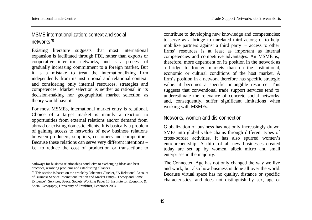l

### MSME internationalization: context and social networks<sup>25</sup>

Existing literature suggests that most international expansion is facilitated through FDI, rather than exports or cooperative inter-firm networks, and is a process of gradually increasing commitment to a foreign market. But it is a mistake to treat the internationalizing firm independently from its institutional and relational context, and considering only internal resources, strategies and competences. Market selection is neither as rational in its decision-making nor geographical market selection as theory would have it.

For most MSMEs, international market entry is relational. Choice of a target market is mainly a reaction to opportunities from external relations and/or demand from abroad or existing domestic clients. It is basically a problem of gaining access to networks of new business relations between producers, suppliers, customers and competitors. Because these relations can serve very different intentions – i.e. to reduce the cost of production or transaction; to

contribute to developing new knowledge and competencies; to serve as a bridge to unrelated third actors; or to help mobilize partners against a third party – access to other firms' resources is at least as important as internal competencies and competitive advantages. An MSME is, therefore, more dependent on its position in the network as a bridge to foreign markets than on the institutional, economic or cultural conditions of the host market. A firm's position in a network therefore has specific strategic value: it becomes a specific, intangible resource. This suggests that conventional trade support services tend to underestimate the relevance of concrete social networks and, consequently, suffer significant limitations when working with MSMEs.

#### Networks, women and dis-connection

Globalization of business has not only increasingly drawn SMEs into global value chains through different types of cross-border activities. It has also spurred women's entrepreneurship. A third of all new businesses created today are set up by women, albeit micro and small enterprises in the majority.

The Connected Age has not only changed the way we live and work, but also how business is done all over the world. Because virtual space has no quality, distance or specific characteristics, and does not distinguish by sex, age or

pathways for business relationships conducive to exchanging ideas and best practices, resolving problems and establishing alliances.

 $25$  This section is based on the article by Johannes Glücker, "A Relational Account of Business Service Internationalization and Market Entry – Theory and Some Evidence", Services, Space, Society Working Paper 15, Institute for Economic & Social Geography, University of Frankfurt, December 2004.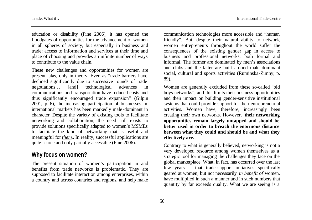education or disability (Fine 2006), it has opened the floodgates of opportunities for the advancement of women in all spheres of society, but especially in business and trade: access to information and services at their time and place of choosing and provides an infinite number of ways to contribute to the value chain.

These new challenges and opportunities for women are present, alas, only in theory. Even as "trade barriers have declined significantly due to successive rounds of trade negotiations… [and] technological advances in communications and transportation have reduced costs and thus significantly encouraged trade expansion" (Gilpin 2001, p. 6), the increasing participation of businesses in international markets has been markedly male -dominant in character. Despite the variety of existing tools to facilitate networking and collaboration, the need still exists to provide solutions specifically adapted to women's MSMEs to facilitate the kind of networking that is useful and meaningful for *them*,. In reality, successful applications are quite scarce and only partially accessible (Fine 2006).

### **Why focus on women?**

The present situation of women's participation in and benefits from trade networks is problematic. They are supposed to facilitate interaction among enterprises, within a country and across countries and regions, and help make

communication technologies more accessible and "human friendly". But, despite their natural ability to network, women entrepreneurs throughout the world suffer the consequences of the existing gender gap in access to business and professional networks, both formal and informal. The former are dominated by men's associations and clubs and the latter are built around male -dominant social, cultural and sports activities (Ruminska-Zimny, p. 89).

Women are generally excluded from these so-called "old boys networks", and this limits their business opportunities and their impact on building gender-sensitive institutional systems that could provide support for their entrepreneurial activities. Women have, therefore, increasingly been creating their own networks. However, **their networking opportunities remain largely untapped and should be better used in order to breach the enormous distance between what they could and should be and what they effectively are.**

Contrary to what is generally believed, networking is not a very developed resource among women themselves as a strategic tool for managing the challenges they face on the global marketplace. What, in fact, has occurred over the last few years is that trade-support initiatives specifically geared at women, but not necessarily *in benefit of* women, have multiplied in such a manner and in such numbers that quantity by far exceeds quality. What we are seeing is a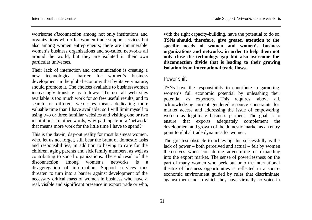worrisome *dis*connection among not only institutions and organizations who offer women trade support services but also among women entrepreneurs; there are innumerable women's business organizations and so-called networks all around the world, but they are isolated in their own particular universes.

Their lack of interaction and communication is creating a new technological barrier for women's business development in the global economy that by its very nature, should promote it. The choices available to businesswomen increasingly translate as follows: "To use all web sites available is too much work for so few useful results, and to search for different web sites means dedicating more valuable time than I have available; so I will limit myself to using two or three familiar websites and visiting one or two institutions. In other words, why participate in a 'network' that means more work for the little time I have to spend?"

This is the day-in, day-out reality for most business women, who, let us not forget, still bear the brunt of domestic tasks and responsibilities, in addition to having to care for the children, aging parents and sick family members, as well as contributing to social organizations. The end result of the disconnection among women's networks is a disaggregation of information. Support services thus threaten to turn into a barrier against development of the necessary critical mass of women in business who have a real, visible and significant presence in export trade or who,

with the right capacity-building, have the potential to do so. **TSNs should, therefore, give greater attention to the specific needs of women and women's business organizations and networks, in order to help them not only close the technology gap but also overcome the disconnection divide that is leading to their growing isolation from international trade flows.**

#### Power shift

TSNs have the responsibility to contribute to garnering women's full economic potential by unleashing their potential as exporters. This requires, above all, acknowledging current gendered resource constraints for market access and addressing the issue of empowering women as legitimate business partners. The goal is to ensure that exports adequately complement the development and growth of the domestic market as an entry point to global trade dynamics for women.

The greatest obstacle to achieving this successfully is the lack of power – both perceived and actual – felt by women themselves when considering adventuring or expanding into the export market. The sense of powerlessness on the part of many women who peek out onto the international theatre of business opportunities is reflected in a socioeconomic environment guided by rules that discriminate against them and in which they have virtually no voice in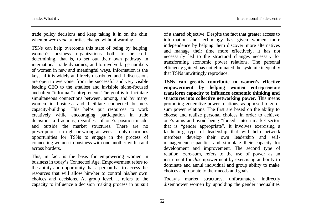trade policy decisions and keep taking it in on the chin when *power trade* priorities change without warning.

TSNs can help overcome this state of being by helping women's business organizations both to be selfdetermining, that is, to set out their own pathway in international trade dynamics, and to involve large numbers of women in new and meaningful ways. Information is the key…if it is widely and freely distributed and if discussions are open to everyone, from the successful and very visible leading CEO to the smallest and invisible niche-focused and often "informal" entrepreneur. The goal is to facilitate simultaneous connections between, among, and by many women in business and facilitate connected business capacity-building. This helps put resources to work creatively while encouraging participation in trade decisions and actions, regardless of one's position inside and outside the market structures. There are no prescriptions, no right or wrong answers, simply enormous opportunities for TSNs to engage in the process of connecting women in business with one another within and across borders.

This, in fact, is the basis for empowering women in business in today's Connected Age. Empowerment refers to the ability and opportunity that a person has to access the resources that will allow him/her to control his/her own choices and decisions. At group level, it refers to the capacity to influence a decision making process in pursuit of a shared objective. Despite the fact that greater access to information and technology has given women more independence by helping them discover more alternatives and manage their time more effectively, it has not necessarily led to the structural changes necessary for transforming economic power relations. The personal efficiency gained has not eliminated the systemic inequality that TSNs unwittingly reproduce.

**TSNs can greatly contribute to women's effective empowerment by helping women entrepreneurs transform capacity to influence economic thinking and structures into collective networking power.** This means promoting generative power relations, as opposed to zerosum power relations. The first are based on the ability to choose and realize personal choices in order to achieve one's aims and avoid being "forced" into a market sector that is "gender appropriate". It involves exercising a facilitating type of leadership that will help network members develop their own leadership and selfmanagement capacities and stimulate their capacity for development and improvement. The second type of relation, zero-sum, refers to the use of power as an instrument for *dis*empowerment by exercising authority to dominate and annul individual and group ability to make choices appropriate to their needs and goals.

Today's market structures, unfortunately, indirectly *dis*empower women by upholding the gender inequalities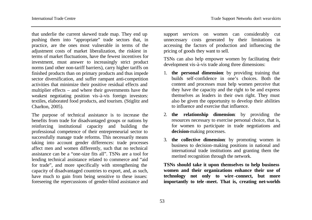that underlie the current skewed trade map. They end up pushing them into "appropriate" trade sectors that, in practice, are the ones most vulnerable in terms of the adjustment costs of market liberalization, the riskiest in terms of market fluctuations, have the fewest incentives for investment, must answer to increasingly strict product norms (and other non-tariff barriers), carry higher tariffs on finished products than on primary products and thus impede sector diversification, and suffer rampant anti-competition activities that minimize their positive residual effects and multiplier effects – and where their governments have the weakest negotiating position vis-à-vis foreign investors: textiles, elaborated food products, and tourism. (Stiglitz and Charlton, 2005).

The purpose of technical assistance is to increase the benefits from trade for disadvantaged groups or nations by reinforcing institutional capacity and building the professional competence of their entrepreneurial sector to successfully manage trade reforms. This necessarily means taking into account gender differences: trade processes affect men and women differently, such that no technical assistance can be a "one-size fits all". TSNs are a tool for lending technical assistance related to commerce and "aid for trade", and more specifically with strengthening the capacity of disadvantaged countries to export, and, as such, have much to gain from being sensitive to these issues: foreseeing the repercussions of gender-blind assistance and

support services on women can considerably cut unnecessary costs generated by their limitations in accessing the factors of production and influencing the pricing of goods they want to sell.

TSNs can also help empower women by facilitating their development vis-à-vis trade along three dimensions:

- 1. **the personal dimension**: by providing training that builds self-confidence in one's choices. Both the content and processes must help women perceive that they have the capacity and the right to be and express themselves as leaders in their own right. They must also be given the opportunity to develop their abilities to influence and exercise that influence.
- 2. **the relationship dimension**: by providing the resources necessary to exercise personal choice, that is, for women to participate in trade negotiations and **decision**-making processes.
- 3. **the collective dimension**: by promoting women in business to decision-making positions in national and international trade institutions and granting them the merited recognition through the network.

**TSNs should take it upon themselves to help business women and their organizations enhance their use of technology not only to wire -connect, but more importantly to tele -meet. That is, creating net-worlds**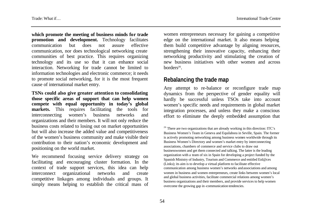**which promote the meeting of business minds for trade promotion and development.** Technology facilitates communication but does not assure effective communication, nor does technological networking create communities of best practice. This requires organizing technology and its use so that it can enhance social interaction. Networking for trade cannot be limited to information technologies and electronic commerce; it needs to promote social networking, for it is the most frequent cause of international market entry.

**TSNs could also give greater attention to consolidating those specific areas of support that can help women compete with equal opportunity in today's global markets.** This requires facilitating the tools for interconnecting women's business networks and organizations and their members. It will not only reduce the business costs related to losing out on market opportunities but will also increase the added value and competitiveness of the women's business community and make visible their contribution to their nation's economic development and positioning on the world market.

We recommend focusing service delivery strategy on facilitating and encouraging cluster formation. In the context of trade support services, this idea can help interconnect organizational networks and create competitive linkages among individuals and groups. It simply means helping to establish the critical mass of women entrepreneurs necessary for gaining a competitive edge on the international market. It also means helping them build competitive advantage by aligning resources, strengthening their innovative capacity, enhancing their networking productivity and stimulating the creation of new business initiatives with other women and across borders<sup>26</sup>.

### **Rebalancing the trade map**

Any attempt to re-balance or reconfigure trade map dynamics from the perspective of gender equality will hardly be successful unless TSOs take into account women's specific needs and requirements in global market integration processes, and unless they make a conscious effort to eliminate the deeply embedded assumption that

<sup>&</sup>lt;sup>26</sup> There are two organizations that are already working in this direction: ITC's Business Women's Team in Geneva and Equilabora in Seville, Spain. The former is actively promoting networking among business women worldwide through its Business Women's Directory and women's market entry by interconnecting associations, chambers of commerce and service clubs to draw out businesswomen and get them connected and talking. The latter is the leading organization with a team of six in Spain for developing a project funded by the Spanish Ministry of Industry, Tourism and Commerce and entitled Enl@ces (Links); its aim is to develop a virtual platform to facilitate effective communication among business women's networks and associations and among women in business and women entrepreneurs, create links between women's local and global business activities, facilitate commercial relations among women's business organizations and their members, and provide services to help women overcome the growing gap in -communication tendencies.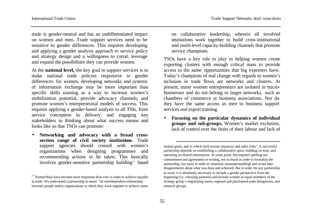trade is gender-neutral and has an undifferentiated impact on women and men. Trade support services need to be sensitive to gender differences. This requires developing and applying a gender analysis approach to service policy and strategy design and a willingness to corral, leverage and expand the possibilities they can provide women.

At the **national level,** the key goal in support services is to make national trade policies responsive to gender differences: for women, developing networks and systems of information exchange may be more important than specific skills training as a way to increase women's mobilization potential, provide advocacy channels, and promote women's entrepreneurial models of success. This requires applying a gender-based analysis to all TSIs, from service conception to delivery, and engaging key stakeholders in thinking about what success means and looks like so that TSOs can promote:

• **Networking and advocacy with a broad crosssection range of civil society institutions***.* Trade support agencies should consult with women's organizations when designing programmes and recommending actions to be taken. This basically involves gender-sensitive partnership building<sup>27</sup> based on collaborative leadership, wherein all involved institutions work together to build cross-institutional and multi-level capacity-building channels that promote service champions.

TSOs have a key role to play in helping women create exporting clusters with enough critical mass to provide access to the same opportunities that big exporters have. Today's champions of real change with regards to women's inclusion in trade flows are networks and clusters. At present, many women entrepreneurs are isolated in microbusinesses and do not belong to larger networks, such as chambers of commerce or business associations. Nor do they have the same access as men to business support services and export training.

• **Focusing on the particular dynamics of individual groups and sub-groups.** Women's market exclusion, lack of control over the fruits of their labour and lack of

l

 $27$  Partnerships have become more important than ever in order to achieve equality in trade. We understand a partnership to mean: "an interdependent relationship between people and/or organizations in which they work together to achieve some

mutual goals, and in which each invests resources and takes risks". A successful partnership depends on establishing a collaborative spirit, building on trust, and operating on shared information. At some point, this requires spelling out commitment and agreements in writing, not so much in order to formalize the partnership, but more in order to minimize misunderstandings and avoid later disagreements about what was done and achieved. But in order for any partnership to work, it is absolutely necessary to include a gender perspective from the beginning (i.e. choosing partners) and include women as equal members of the strategy group's negotiating teams, regional and plurilateral trade delegations, and research groups.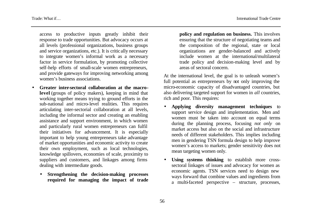access to productive inputs greatly inhibit their response to trade opportunities. But advocacy occurs at all levels (professional organizations, business groups and service organizations, etc.). It is critic ally necessary to integrate women's informal work as a necessary factor in service formulation, by promoting collective self-help efforts of small-scale women entrepreneurs, and provide gateways for improving networking among women's business associations.

- **Greater inter-sectoral collaboration at the macrolevel** (groups of policy makers), keeping in mind that working together means trying to ground efforts in the sub-national and micro-level realities. This requires articulating inter-sectorial collaboration at all levels, including the informal sector and creating an enabling assistance and support environment, in which women and particularly rural women entrepreneurs can fulfil their initiatives for advancement. It is especially important to help young entrepreneurs take advantage of market opportunities and economic activity to create their own employment, such as local technologies, knowledge spillovers, economies of scale, proximity to suppliers and customers, and linkages among firms dealing with intermediate goods.
	- **Strengthening the decision-making processes required for managing the impact of trade**

**policy and regulation on business.** This involves ensuring that the structure of negotiating teams and the composition of the regional, state or local organizations are gender-balanced and actively include women at the international/multilateral trade policy and decision-making level and by areas of sectoral concern.

At the international level, the goal is to unleash women's full potential as entrepreneurs by not only improving the micro-economic capacity of disadvantaged countries, but also delivering targeted support for women in *all* countries, rich and poor. This requires:

- **Applying diversity management techniques** to support service design and implementation. Men and women must be taken into account on equal terms during the planning process, focusing *not only* on market access but also on the social and infrastructure needs of different stakeholders. This implies including men in gendering TSN formula design to help improve women's access to markets; gender sensitivity does not mean targeting women only.
- Using systems thinking to establish more crosssectoral linkages of issues and advocacy for women as economic agents. TSN services need to design new ways forward that combine values and ingredients from a multi-faceted perspective – structure, processes,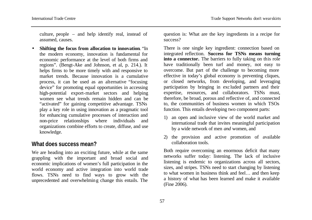culture, people – and help identify real, instead of assumed, causes.

**Shifting the focus from allocation to innovation.** "In the modern economy, innovation is fundamental for economic performance at the level of both firms and regions". (Bengt-Ake and Johnson, et al, p. 214.). It helps firms to be more timely with and responsive to market trends. Because innovation is a cumulative process, it can be used as an alternative "focusing device" for promoting equal opportunities in accessing high-potential export-market sectors and helping women see what trends remain hidden and can be "activated" for gaining competitive advantage. TSNs play a key role in using innovation as a pragmatic tool for enhancing cumulative processes of interaction and non-price relationships where individuals and organizations combine efforts to create, diffuse, and use knowledge.

### **What does success mean?**

We are heading into an exciting future, while at the same grappling with the important and broad social and economic implications of women's full participation in the world economy and active integration into world trade flows. TSNs need to find ways to grow with the unprecedented and overwhelming change this entails. The

question is: What are the key ingredients in a recipe for success?

There is one single key ingredient: connection based on integrated reflection. **Success for TSNs means turning into a connector.** The barriers to fully taking on this role have traditionally been turf and money, not easy to overcome. But part of the challenge to becoming more effective in today's global economy is preventing cliques, or closed networks, from developing, and leveraging participation by bringing in exc luded partners and their expertise, resources, and collaborators. TSNs must, therefore, be broad, porous and reflective of, and connected to, the communities of business women in which TSOs function. This entails developing two component parts:

- 1) an open and inclusive view of the world market and international trade that invites meaningful participation by a wide network of men *and* women, and
- 2) the provision and active promotion of available collaboration tools.

Both require overcoming an enormous deficit that many networks suffer today: listening. The lack of inclusive listening is endemic to organizations across all sectors, sizes, and stripes. TSNs need to start changing by listening to what women in business think and feel… and then keep a history of what has been learned and make it available (Fine 2006).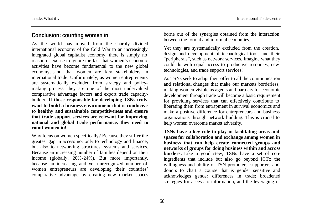### **Conclusion: counting women in**

As the world has moved from the sharply divided international economy of the Cold War to an increasingly integrated global capitalist economy, there is simply no reason or excuse to ignore the fact that women's economic activities have become fundamental to the new global economy…and that women are key stakeholders in international trade. Unfortunately, as women entrepreneurs are systematically excluded from strategy and policymaking process, they are one of the most undervalued comparative advantage factors and export trade capacitybuilder. **If those responsible for developing TSNs truly want to build a business environment that is conducive to healthy and sustainable competitiveness and ensure that trade support services are relevant for improving national and global trade performance, they need to count women in!**

Why focus on women specifically? Because they suffer the greatest gap in access not only to technology and finance, but also to networking structures, systems and services. Because an increasing number of families depend on their income (globally, 20%-24%). But more importantly, because an increasing and yet unrecognized number of women entrepreneurs are developing their countries' comparative advantage by creating new market spaces borne out of the synergies obtained from the interaction between the formal and informal economies.

Yet they are systematically excluded from the creation, design and development of technological tools and their "peripherals", such as network services. Imagine what they could do with equal access to productive resources, new technologies, and trade support services!

As TSNs seek to adapt their offer to all the communication and relational changes that make our markets borderless, making women visible as agents and partners for economic development through trade will become a basic requirement for providing services that can effectively contribute to liberating them from entrapment in survival economics and make a positive difference for entrepreneurs and business organizations through network building. This is crucial to help women overcome market adversity.

**TSNs have a key role to play in facilitating areas and spaces for collaboration and exchange among women in business that can help create connected groups and networks of groups for doing business within and across borders.** Like a good stew, TSNs have a set of core ingredients that include but also go beyond ICT:: the willingness and ability of TSN promoters, supporters and donors to chart a course that is gender sensitive and acknowledges gender differences in trade; broadened strategies for access to information, and the leveraging of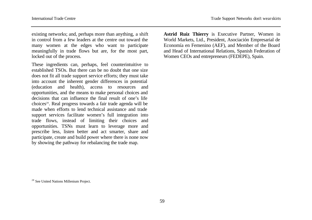existing networks; and, perhaps more than anything, a shift in control from a few leaders at the centre out toward the many women at the edges who want to participate meaningfully in trade flows but are, for the most part, locked out of the process.

These ingredients can, perhaps, feel counterintuitive to established TSOs. But there can be no doubt that one size does not fit all trade support service efforts; they must take into account the inherent gender differences in potential (education and health), access to resources and opportunities, and the means to make personal choices and decisions that can influence the final result of one's life choices<sup>28</sup>. Real progress towards a fair trade agenda will be made when efforts to lend technical assistance and trade support services facilitate women's full integration into trade flows, instead of limiting their choices and opportunities. TSNs must learn to leverage more and prescribe less, listen better and act smarter, share and participate, create and build power where there is none now by showing the pathway for rebalancing the trade map.

**Astrid Ruiz Thierry** is Executive Partner, Women in World Markets, Ltd., President, Asociación Empresarial de Economía en Femenino (AEF), and Member of the Board and Head of International Relations, Spanish Federation of Women CEOs and entrepreneurs (FEDEPE), Spain.

<sup>28</sup> See United Nations Millenium Project.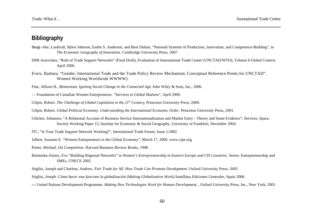# **Bibliography**

- Bengt-Ake, Lundvall, Björn Johnson, Esebn S. Andersen, and Bent Dalum, "National Systems of Production, Innovation, and Competence-Building", in *The Economic Geography of Innovation*. Cambridge University Press, 2007.
- DMI Associates, "Role of Trade Support Networks" (Final Draft), Evaluation of International Trade Center (UNCTAD/WTO), Volume 6 Global Context. April 2006.
- Evers, Barbara. "Gender, International Trade and the Trade Policy Review Mechanism: Conceptual Reference Points for UNCTAD". Women Working Worldwide WWWW).

Fine, Allison H., *Momentum. Igniting Social Change in the Connected Age*. John Wiley & Sons, Inc., 2006.

- Foundation of Canadian Women Entrepreneurs. "Services to Global Markets", April 2000.
- Gilpin, Robert. *The Challenge of Global Capitalism in the 21st Century*, Princeton University Press, 2000.
- Gilpin, Robert. *Global Political Economy. Understanding the International Economic Order.* Princeton University Press, 2001.
- Glücker, Johannes, "A Relational Account of Business Service Internationalization and Market Entry Theory and Some Evidence", Services, Space, Society Working Paper 15, Institute for Economic & Social Geography, University of Frankfurt, December 2004.
- ITC, "Is Your Trade Support Network Working?", International Trade Forum, Issue 1/2002
- Jalbert, Susanne E. "Women Entrepreneurs in the Global Economy", March 17, 2000. www.cipe.org.
- Porter, Michael. *On Competition*. Harvard Business Review Books, 1998.
- Ruminska-Zimny, Eva "Building Regional Networks" in *Women's Entrepreneurship in Eastern Europe and CIS Countries*. Series: Entrepreneurship and SMEs, UNECE 2002.
- Stiglitz, Joseph and Charlton, Andrew. *Fair Trade for All. How Trade Can Promote Development*. Oxford University Press, 2005
- Stiglitz, Joseph. *Cómo hacer wue funcione la globalización* (*Making Globalization Work).*Santillana Ediciones Generales, Spain 2006.
- **—** United Nations Development Programme. *Making New Technologies Work for Human Development*, , Oxford University Press, Inc., New York, 2001.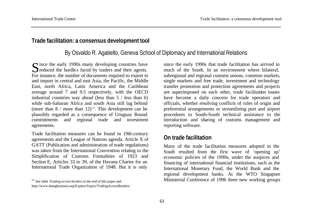### **Trade facilitation: a consensus development tool**

# By Osvaldo R. Agatiello, Geneva School of Diplomacy and International Relations

Since the early 1990s many developing countries have<br>
Section the murdles faced by traders and their agents. reduced the hurdles faced by traders and their agents. For instance, the number of documents required to export to and import in central and east Asia, the Pacific, the Middle East, north Africa, Latin America and the Caribbean average around 7 and 9.5 respectively, with the OECD industrial countries way ahead (less than 5 / less than 6) while sub-Saharan Africa and south Asia still lag behind (more than  $8 /$  more than  $12)^{29}$ . This development can be plausibly regarded as a consequence of Uruguay Round commitments and regional trade and investment agreements.

Trade facilitation measures can be found in 19th-century agreements and the League of Nations agenda. Article X of GATT (Publication and administration of trade regulations) was taken from the International Convention relating to the Simplification of Customs Formalities of 1923 and Section E, Articles 33 to 39, of the Havana Charter for an International Trade Organization of 1948. But it is only

since the early 1990s that trade facilitation has arrived in much of the South. In an environment where bilateral, subregional and regional customs unions, common markets, single markets and free trade, investment and technology transfer promotion and protection agreements and projects are superimposed on each other, trade facilitation issues have become a daily concern for trade operators and officials, whether resolving conflicts of rules of origin and preferential arrangements or streamlining port and airport procedures to South-South technical assistance to the introduction and sharing of customs management and reporting software.

# **On trade facilitation**

Many of the trade facilitation measures adopted in the South resulted from the first wave of 'opening up' economic policies of the 1990s, under the auspices and financing of international financial institutions, such as the International Monetary Fund, the World Bank and the regional development banks. At the WTO Singapore Ministerial Conference of 1996 three new working groups

<sup>29</sup> See table *Trading across borders* at the end of this paper and http://www.doingbusiness.org/ExploreTopics/TradingAcrossBorders/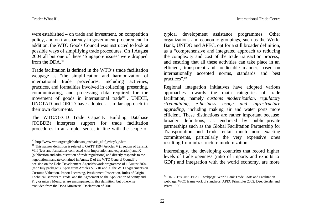were established – on trade and investment, on competition policy, and on transparency in government procurement. In addition, the WTO Goods Council was instructed to look at possible ways of simplifying trade procedures. On 1August 2004 all but one of these 'Singapore issues' were dropped from the DDA.<sup>30</sup>

Trade facilitation is defined in the WTO's trade facilitation webpage as "the simplification and harmonization of international trade procedures, including activities, practices, and formalities involved in collecting, presenting, communicating, and processing data required for the movement of goods in international trade"31. UNECE, UNCTAD and OECD have adopted a similar approach in their own documents.

The WTO/OECD Trade Capacity Building Database (TCBDB) interprets support for trade facilitation procedures in an ampler sense, in line with the scope of

typical development assistance programmes. Other organizations and economic groupings, such as the World Bank, UNIDO and APEC, opt for a still broader definition, as a "comprehensive and integrated approach to reducing the complexity and cost of the trade transaction process, and ensuring that all these activities can take place in an efficient, transparent and predictable manner, based on internationally accepted norms, standards and best practices".<sup>32</sup>

Regional integration initiatives have adopted various approaches towards the main categories of trade facilitation, namely *customs modernization, regulatory streamlining, e-business usage and infrastructure upgrading*, including making air and water ports more efficient. These distinctions are rather important because broader definitions, as endorsed by public -private partnerships such as the Global Facilitation Partnership for Transportation and Trade, entail much more exacting commitments, particularly the very expensive ones resulting from infrastructure modernization.

Interestingly, the developing countries that record higher levels of trade openness (ratio of imports and exports to GDP) and integration with the world economy, are more

<sup>30</sup> http://www.wto.org/english/thewto\_e/whatis\_e/tif\_e/bey3\_e.htm

 $31$  This narrow definition is related to GATT 1994 Articles V (freedom of transit), VIII (fees and formalities connected with importation and exportation) and X (publication and administration of trade regulations) and directly responds to the negotiation mandate contained in Annex D of the WTO General Council's decision on the Doha Development Agenda's work programme of 1 August 2004 (the "July package"). Apart from Articles V, VIII and X, the WTO Agreements on Customs Valuation, Import Licensing, Preshipment Inspection, Rules of Origin, Technical Barriers to Trade, and the Agreement on the Application of Sanity and Phytosanitary Measures are encompassed in this definition, but otherwise excluded from the Doha Ministerial Declaration of 2001.

<sup>&</sup>lt;sup>32</sup> UNECE's UN/CEFACT webpage, World Bank Trade Costs and Facilitation webpage, WCO framework of standards, APEC Principles 2002, Dee, Geisler and Watts 1996.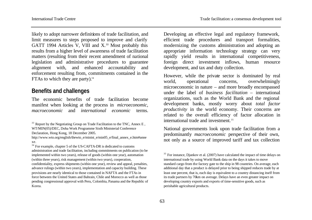likely to adopt narrower definitions of trade facilitation, and limit measures to steps proposed to improve and clarify GATT 1994 Articles V, VIII and X<sup>33</sup> Most probably this results from a higher level of awareness of trade facilitation matters (resulting from their recent amendment of national legislation and administrative procedures to guarantee alignment with, and enhanced accountability and enforcement resulting from, commitments contained in the FTAs to which they are party). $34$ 

#### **Benefits and challenges**

The economic benefits of trade facilitation become manifest when looking at the process in *microeconomic, macroeconomic* and *international economic* terms.

 $33$  Report by the Negotiating Group on Trade Facilitation to the TNC, Annex E, WT/MIN(05)/DEC, Doha Work Programme Sixth Ministerial Conference Declaration, Hong Kong, 18 December 2005.

http://www.wto.org/english/thewto\_e/minist\_e/min05\_e/final\_annex\_e.htm#anne xe.

<sup>34</sup> For example, chapter 5 of the US-CAFTA-DR is dedicated to customs administration and trade facilitation, including commitments on publication (to be implemented within two years), release of goods (within one year), automation (within three years), risk management (within two years), cooperation, confidentiality, express shipments (within one year), review and appeal, penalties, advance rulings (within two years), implementation and capacity building. These provisions are nearly identical to those contained in NAFTA and the FTAs in force between the United States and Bahrain, Chile and Morocco as well as those pending congressional approval with Peru, Colombia, Panama and the Republic of Korea.

Developing an effective legal and regulatory framework, efficient trade procedures and transport formalities, modernizing the customs administration and adopting an appropriate information technology strategy can very rapidly yield results in international competitiveness, foreign direct investment inflows, human resource development, and tax and duty collection.

However, while the private sector is dominated by real world, operational concerns, overwhelmingly microeconomic in nature – and more broadly encompassed under the label of *business facilitation* – international organizations, such as the World Bank and the regional development banks, mostly worry about *total factor productivity* in the world economy. Their concerns are related to the overall efficiency of factor allocation in international trade and investment.<sup>35</sup>

National governments look upon trade facilitation from a predominantly *macroeconomic* perspective of their own, not only as a source of improved tariff and tax collection

<sup>&</sup>lt;sup>35</sup> For instance, Djankov et al. (2007) have calculated the impact of time delays on international trade by using World Bank data on the days it takes to move standard cargo from the factory gate to the ship in 98 countries. On average, each additional day that a product is delayed prior to being shipped reduces trade by at least one percent, that is, each day is equivalent to a country distancing itself from its trade partners by 70km on average. Delays have an even greater impact on developing country exports and exports of time-sensitive goods, such as perishable agricultural products.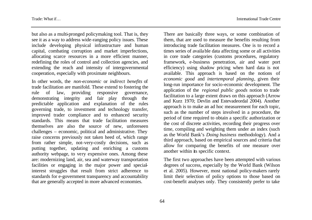but also as a multi-pronged policymaking tool. That is, they see it as a way to address wide-ranging policy issues. These include developing physical infrastructure and human capital, combating corruption and market imperfections, allocating scarce resources in a more efficient manner, redefining the roles of control and collection agencies, and extending the reach and intensity of intergovernmental cooperation, especially with proximate neighbours.

In other words, the *non-economic* or *indirect benefits* of trade facilitation are manifold. These extend to fostering the rule of law, providing responsive governance, demonstrating integrity and fair play through the predictable application and explanation of the rules governing trade, to investment and technology transfer, improved trader compliance and to enhanced security standards. This means that trade facilitation measures themselves are also the source of new, unforeseen challenges – economic, political and administrative. They raise concerns previously not taken heed of, which range from rather simple, not-very-costly decisions, such as putting together, updating and enriching a customs authority webpage, to very expensive ones. Among these are: modernizing land, air, sea and waterway transportation facilities or engaging in the major power and specialinterest struggles that result from strict adherence to standards for e-government transparency and accountability that are generally accepted in more advanced economies.

There are basically three ways, or some combination of them, that are used to measure the benefits resulting from introducing trade facilitation measures. One is to record a times series of available data affecting some or all activities in core trade categories (customs procedures, regulatory framework, e-business penetration, air and water port efficiency) using shadow pricing when hard data is not available. This approach is based on the notions of *economic good* and *intertemporal planning*, given their long-run importance for socio-economic development. The application of the *regional public goods* notion to trade facilitation to a large extent draws on this approach (Arrow and Kurz 1970; Devlin and Estevadeordal 2004). Another approach is to make an ad hoc measurement for each topic, such as the number of steps involved in a procedure, the period of time required to obtain a specific authorization or the cost of discrete activities, recording their progress over time, compiling and weighting them under an index (such as the World Bank's *Doing business* methodology). And a third approach, based on empirical sources and criteria that allow for comparing the benefits of one measure over another within its specific context.

The first two approaches have been attempted with various degrees of success, especially by the World Bank (Wilson et al. 2005). However, most national policy-makers rarely limit their selection of policy options to those based on cost-benefit analyses only. They consistently prefer to take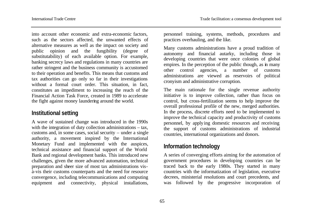into account other economic and extra-economic factors, such as the sectors affected, the unwanted effects of alternative measures as well as the impact on society and public opinion and the fungibility (degree of substitutability) of each available option. For example, banking secrecy laws and regulations in many countries are rather stringent and the business community is accustomed to their operation and benefits. This means that customs and tax authorities can go only so far in their investigations without a formal court order. This situation, in fact, constitutes an impediment to increasing the reach of the Financial Action Task Force, created in 1989 to accelerate the fight against money laundering around the world.

### **Institutional setting**

A wave of sustained change was introduced in the 1990s with the integration of duty collection administrations – tax, customs and, in some cases, social security – under a single authority, a movement inspired by the International Monetary Fund and implemented with the auspices, technical assistance and financial support of the World Bank and regional development banks. This introduced new challenges, given the more advanced automation, technical preparation and sheer size of most tax administrations visà-vis their customs counterparts and the need for resource convergence, including telecommunications and computing equipment and connectivity, physical installations, personnel training, systems, methods, procedures and practices overhauling, and the like.

Many customs administrations have a proud tradition of autonomy and financial autarky, including those in developing countries that were once colonies of global empires. In the perception of the public though, as in many other control agencies, a number of customs administrations are viewed as reservoirs of political cronyism and administrative corruption.

The main rationale for the single revenue authority initiative is to improve collection, rather than focus on control, but cross-fertilization seems to help improve the overall professional profile of the new, merged authorities. In the process, discrete efforts need to be implemented to improve the technical capacity and productivity of customs personnel, by applying domestic resources and receiving the support of customs administrations of industrial countries, international organizations and donors.

### **Information technology**

A series of converging efforts aiming for the automation of government procedures in developing countries can be traced back to the early 1980s. They started in many countries with the informatization of legislation, executive decrees, ministerial resolutions and court precedents, and was followed by the progressive incorporation of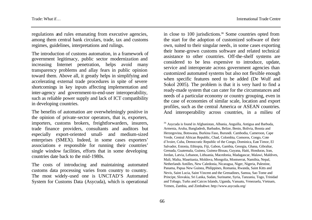regulations and rules emanating from executive agencies, among them central bank circulars, trade, tax and customs regimes, guidelines, interpretations and rulings.

The introduction of customs automation, in a framework of government legitimacy, public sector modernization and increasing Internet penetration, helps avoid many transparency problems and allay fears in public opinion toward them. Above all, it greatly helps in simplifying and accelerating external trade procedures in spite of severe shortcomings in key inputs affecting implementation and inter-agency and government-to-end-user interoperability, such as reliable power supply and lack of ICT compatibility in developing countries.

The benefits of automation are overwhelmingly positive in the opinion of private-sector operators, that is, exporters, importers, customs brokers, freightforwarders, insurers, trade finance providers, consultants and auditors but especially export-oriented small- and medium-sized enterprises (SMEX). Indeed, in some cases exporters' associations e responsible for running their countries' single window facilities, efforts that in some developing countries date back to the mid-1980s.

The costs of introducing and maintaining automated customs data processing varies from country to country. The most widely-used one is UNCTAD'S Automated System for Customs Data (Asycuda), which is operational

in close to 100 jurisdictions.36 Some countries opted from the start for the adoption of customized software of their own, suited to their singular needs, in some cases exporting their home-grown customs software and related technical assistance to other countries. Off-the-shelf systems are considered to be less expensive to introduce, update, service and interoperate across government agencies than customized automated systems but also not flexible enough when specific features need to be added (De Wulf and Sokol 2005). The problem is that it is very hard to find a ready-made system that can cater for the circumstances and needs of a particular economy or country grouping, even in the case of economies of similar scale, location and export profiles, such as the central America or ASEAN countries. And interoperability across countries, in a milieu of

<sup>36</sup> Asycuda is found in Afghanistan, Albania, Anguilla, Antigua and Barbuda, Armenia, Aruba, Bangladesh, Barbados, Belize, Benin, Bolivia, Bosnia and Herzegovina, Botswana, Burkina Faso, Burundi. Cambodia, Cameroon, Cape Verde, Central African Republic, Chad, Colombia, Comoros, Congo, Cote d´Ivoire, Cuba, Democratic Republic of the Congo, Dominica, East Timor, El Salvador, Estonia, Ethiopia, Fiji, Gabon, Gambia, Georgia, Ghana, Gibraltar, Grenada, Guatemala, Guinea, Guinea-Bissau, Guyana, Haiti, Honduras, Iran, Jordan, Latvia, Lebanon, Lithuania, Macedonia, Madagascar, Malawi, Maldives, Mali, Malta, Mauritania, Moldova, Mongolia, Montserrat, Namibia, Nepal, Netherlands Antilles, New Caledonia, Nicaragua, Niger, Nigeria, Palestine, Panama, Papua New Guinea, Philippines, Romania, Rwanda, Saint Kitts and Nevis, Saint Lucia, Saint Vincent and the Grenadines, Samoa, Sao Tome and Principe, Slovakia, Sri Lanka, Sudan, Suriname, Syria, Tanzania, Togo, Trinidad and Tobago, Turks and Caicos Islands, Uganda, Vanuatu, Venezuela, Vietnam, Yemen, Zambia, and Zimbabwe. http://www.asycuda.org/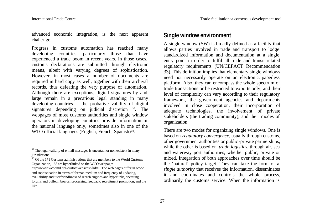advanced economic integration, is the next apparent challenge.

Progress in customs automation has reached many developing countries, particularly those that have experienced a trade boom in recent years. In those cases, customs declarations are submitted through electronic means, albeit with varying degrees of sophistication. However, in most cases a number of documents are required in hard copy as well, together with their archival records, thus defeating the very purpose of automation. Although there are exceptions, digital signatures by and large remain in a precarious legal standing in many developing countries – the probative validity of digital signatures depending on judicial discretion <sup>37</sup>. The webpages of most customs authorities and single window operators in developing countries provide information in the national language only, sometimes also in one of the WTO official languages (English, French, Spanish)<sup>38</sup>.

 $38$  Of the 171 Customs administrations that are members to the World Customs Organization, 168 are hyperlinked on the WCO webpage:

### **Single window environment**

A single window (SW) is broadly defined as a facility that allows parties involved in trade and transport to lodge standardized information and documentation at a single entry point in order to fulfil all trade and transit-related regulatory requirements (UN/CEFACT Recommendation 33). This definition implies that elementary single windows need not necessarily operate on an electronic, paperless platform. Also, they can encompass the whole spectrum of trade transactions or be restricted to exports only; and their level of complexity can vary according to their regulatory framework, the government agencies and departments involved in close cooperation, their incorporation of adequate technologies, the involvement of private stakeholders (the trading community), and their modes of organization.

There are two modes for organizing single windows. One is based on *regulatory convergence*, usually through customs, other government authorities or public -private partnerships, while the other is based on *trade logistics*, through air, sea and waterway port authorities, whether public, private or mixed. Integration of both approaches over time should be the 'natural' policy target. They can take the form of a *single authority* that receives the information, disseminates it and coordinates and controls the whole process, ordinarily the customs service. When the information is

 $37$  The legal validity of e-mail messages is uncertain or non existent in many jurisdictions.

http://www.wcoomd.org/customwebsites/?lid=1. The web pages differ in scope and sophistication in terms of format, medium and frequency of updating, availability and userfriendliness of search engines and hyperlinks, operating forums and bulletin boards, processing feedback, recruitment promotion, and the like.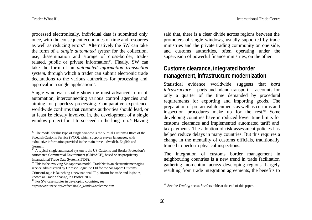processed electronically, individual data is submitted only once, with the consequent economies of time and resources as well as reducing errors<sup>39</sup>. Alternatively the SW can take the form of a *single automated system* for the collection, use, dissemination and storage of cross-border, traderelated, public or private information<sup>40</sup>. Finally, SW can take the form of an *automated information transaction system*, through which a trader can submit electronic trade declarations to the various authorities for processing and approval in a single application<sup>41</sup>.

Single windows usually show the most advanced form of automation, interconnecting various control agencies and aiming for paperless processing. Comparative experience worldwide confirms that customs authorities should lead, or at least be closely involved in, the development of a single window project for it to succeed in the long run.<sup>42</sup> Having

<sup>42</sup> For SW case studies in developing countries, see http://www.unece.org/cefact/single\_window/welcome.htm. said that, there is a clear divide across regions between the promoters of single windows, usually supported by trade ministries and the private trading community on one side, and customs authorities, often operating under the supervision of powerful finance ministries, on the other.

# **Customs clearance, integrated border management, infrastructure modernization**

Statistical evidence worldwide suggests that *hard infrastructure* – ports and inland transport – accounts for only a quarter of the time demanded by procedural requirements for exporting and importing goods. The preparation of pre-arrival documents as well as customs and inspection procedures make up for the rest.**43** Some developing countries have introduced lower time limits for customs clearance and implemented automated tariff and tax payments. The adoption of risk assessment policies has helped reduce delays in many countries. But this requires a change in the mentality of customs officials, traditionally trained to perform physical inspections.

The integration of customs border management in neighbouring countries is a new trend in trade facilitation gathering momentum across developing regions. Largely resulting from trade integration agreements, the benefits to

<sup>&</sup>lt;sup>39</sup> The model for this type of single window is the Virtual Customs Office of the Swedish Customs Service (VCO), which supports eleven languages, with exhaustive information provided in the main three – Swedish, English and German.

<sup>40</sup> A typical single automated system is the US Customs and Border Protection's Automated Commercial Environment (CBP/ACE), based on its proprietary International Trade Data System (ITDS).

<sup>&</sup>lt;sup>41</sup> This is the evolving Singaporean model. TradeNet is an electronic messaging service administered by CrimsonLogic Pte Ltd for the Singapore Customs. CrimsonLogic is launching a new national IT platform for trade and logistics, known as TradeXchange, in October 2007.

<sup>43</sup> See the *Trading across borders* table at the end of this paper.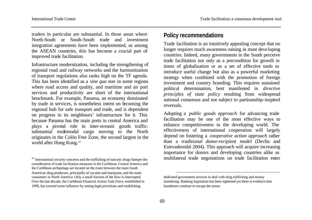traders in particular are substantial. In those areas where North-South or South-South trade and investment integration agreements have been implemented, as among the ASEAN countries, this has become a crucial part of improved trade facilitation.

Infrastructure modernization, including the strengthening of regional road and railway networks and the harmonization of transport regulations also ranks high on the TF agenda. This has been identified as a *sine qua non* in some regions where road access and quality, and maritime and air port services and productivity are short of the international benchmark. For example, Panama, an economy dominated by trade in services, is nonetheless intent on becoming the regional hub for safe transport and trade, and is dependent on progress in its neighbours' infrastructure for it. This because Panama has the main ports in central America and plays a pivotal role in inter-oceanic goods traffic: substantial multimodal cargo moving to the North originates in the Colón Free Zone, the second largest in the world after Hong Kong.<sup>44</sup>

# **Policy recommendations**

Trade facilitation is an intuitively appealing concept that no longer requires much awareness-raising in most deve loping countries. Indeed, many governments in the South perceive trade facilitation not only as a precondition for growth in times of globalization or as a set of effective tools to introduce useful change but also as a powerful marketing strategy when combined with the promotion of foreign investment and country branding. This requires sustained political determination, best manifested in *directive principles of state policy* resulting from widespread national consensus and not subject to partisanship-inspired reversals.

Adopting a *public goods approach* for advancing trade facilitation may be one of the most effective ways to enhance competitiveness in the developing world. The effectiveness of international cooperation will largely depend on fostering a *cooperative action approach* rather than a *traditional donor-recipient model* (Devlin and Estevadeordal 2004). This approach will acquire increasing importance for donors and developing countries alike as multilateral trade negotiations on trade facilitation enter

l

<sup>44</sup> International security concerns and the trafficking of narcotic drugs hamper the consideration of trade facilitation measures in the Caribbean. Central America and the Caribbean archipelago are located on the route between the main South American drug producers, principally of cocaine and marijuana, and the main consumers in North America. Only a small fraction of the flow is intercepted. Over the last decade, the Caribbean Financial Action Task Force, established in 1990, has exerted some influence by setting legal provisions and establishing

dedicated government services to deal with drug trafficking and money laundering. Banking legislation has been tightened yet there is evidence that launderers continue to escape the noose.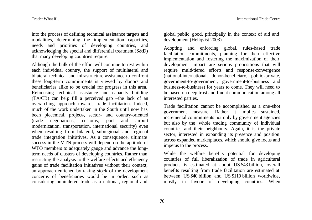into the process of defining technical assistance targets and modalities, determining the implementation capacities, needs and priorities of developing countries, and acknowledging the special and differential treatment (S&D) that many developing countries require.

Although the bulk of the effort will continue to rest within each individual country, the support of multilateral and bilateral technical and infrastructure assistance to confront these long-term commitments is viewed by donors and beneficiaries alike to be crucial for progress in this area. Refocusing technical assistance and capacity building (TA/CB) can help fill a perceived gap –the lack of an overarching approach towards trade facilitation. Indeed, much of the work undertaken in the South until now has been piecemeal, project-, sector- and country-oriented (trade negotiations, customs, port and airport modernization, transportation, international security) even when resulting from bilateral, subregional and regional trade integration initiatives. As a consequence, ultimate success in the MTN process will depend on the aptitude of WTO members to adequately gauge and advance the longterm needs of clusters of developing countries. Rather than restricting the analysis to the welfare effects and efficiency gains of trade facilitation initiatives without their context, an approach enriched by taking stock of the development concerns of beneficiaries would be in order, such as considering unhindered trade as a national, regional and

global public good, principally in the context of aid and development (Hellqvist 2003).

Adopting and enforcing global, rules-based trade facilitation commitments, planning for their effective implementation and fostering the maximization of their development impact are serious propositions that will require multi-tiered efforts and response-convergence (national-international, donor-beneficiary, public -private, government-to-government, government-to-business and business-to-business) for years to come. They will need to be based on deep trust and fluent communication among all interested parties.

Trade facilitation cannot be accomplished as a one-shot government measure. Rather it implies sustained, incremental commitments not only by government agencies but also by the whole trading community of individual countries and their neighbours. Again, it is the private sector, interested in expanding its presence and position across expanded marketplaces, which should give focus and impetus to the process.

While the welfare benefits potential for developing countries of full liberalization of trade in agricultural products is estimated at about US \$43 billion, overall benefits resulting from trade facilitation are estimated at between US \$40 billion and US \$110 billion worldwide, mostly in favour of developing countries. When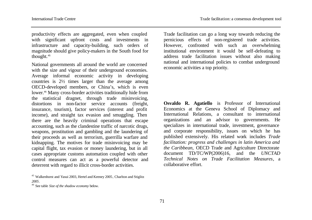productivity effects are aggregated, even when coupled with significant upfront costs and investments in infrastructure and capacity-building, such orders of magnitude should give policy-makers in the South food for thought.<sup>45</sup>

National governments all around the world are concerned with the size and vigour of their underground economies. Average informal economic activity in developing countries is 2½ times larger than the average among OECD-developed members, or China's, which is even lower.46 Many cross-border activities traditionally hide from the statistical dragnet, through trade misinvoicing, distortions in non-factor service accounts (freight, insurance, tourism), factor services (interest and profit income), and straight tax evasion and smuggling. Then there are the heavily criminal operations that escape accounting, such as the clandestine traffic of narcotic drugs, weapons, prostitution and gambling and the laundering of their proceeds as well as terrorism, guerrilla warfare and kidnapping. The motives for trade misinvoicing may be capital flight, tax evasion or money laundering, but in all cases appropriate customs automation coupled with other control measures can act as a powerful detector and deterrent with regard to illicit cross-border activities.

Trade facilitation can go a long way towards reducing the pernicious effects of non-registered trade activities. However, confronted with such an overwhelming institutional environment it would be self-defeating to address trade facilitation issues without also making national and international policies to combat underground economic activities a top priority.

**Osvaldo R. Agatiello** is Professor of International Economics at the Geneva School of Diplomacy and International Relations, a consultant to international organizations and an advisor to governments. He specializes in international trade, investment, governance and corporate responsibility, issues on which he has published extensively. His related work includes *Trade facilitation: progress and challenges in latin America and the Caribbean,* OECD Trade and Agriculture Directorate document TD/TC/WP(2006)16, and the *UNCTAD Technical Notes on Trade Facilitation Measures*, a collaborative effort.

<sup>45</sup> Walkenhorst and Yasui 2003, Hertel and Keeney 2005, Charlton and Stiglitz *2005*.

<sup>46</sup> See table *Size of the shadow economy* below.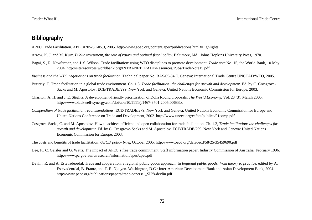# **Bibliography**

APEC Trade Facilitation. APEC#205-SE-05.3, 2005. http://www.apec.org/content/apec/publications.html#Highlights

- Arrow, K. J. and M. Kurz. *Public investment, the rate of return and optimal fiscal policy*. Baltimore, Md.: Johns Hopkins University Press, 1970.
- Bagai, S., R. Newfarmer, and J. S. Wilson. Trade facilitation: using WTO disciplines to promote development. *Trade note* No. 15, the World Bank, 10 May 2004. http://siteresources.worldbank.org/INTRANETTRADE/Resources/Pubs/TradeNote15.pdf

*Business and the WTO negotiations on trade facilitation.* Technical paper No. BAS-05-34.E. Geneva: International Trade Centre UNCTAD/WTO, 2005.

- Butterly, T. Trade facilitation in a global trade environment. Ch. 1.3, *Trade facilitation: the challenges for growth and development*. Ed. by C. Crosgrove-Sacks and M. Apostolov. ECE/TRADE/299. New York and Geneva: United Nations Economic Commission for Europe, 2003.
- Charlton, A. H. and J. E. Stiglitz. A development-friendly prioritisation of Doha Round proposals. *The World Economy*, Vol. 28 (3), March 2005. http://www.blackwell-synergy.com/doi/abs/10.1111/j.1467-9701.2005.00683.x
- *Compendium of trade facilitation recommendations*. ECE/TRADE/279. New York and Geneva: United Nations Economic Commission for Europe and United Nations Conference on Trade and Development, 2002. http://www.unece.org/cefact/publica/01comp.pdf
- Cosgrove-Sacks, C. and M. Apostolov. How to achieve efficient and open collaboration for trade facilitation. Ch. 1.2, *Trade facilitation: the challenges for growth and development*. Ed. by C. Crosgrove-Sacks and M. Apostolov. ECE/TRADE/299. New York and Geneva: United Nations Economic Commission for Europe, 2003.

The costs and benefits of trade facilitation. *OECD policy brief*, October 2005. http://www.oecd.org/dataoecd/58/25/35459690.pdf

- Dee, P., C. Geisler and G. Watts. The impact of APEC's free trade commitment. Staff information paper, Industry Commission of Australia, February 1996. http://www.pc.gov.au/ic/research/information/apec/apec.pdf
- Devlin, R. and A. Estevadeordal. Trade and cooperation: a regional public goods approach. In *Regional public goods: from theory to practice*, edited by A. Estevadeordal, B. Frantz, and T. R. Nguyen. Washington, D.C.: Inter-American Development Bank and Asian Development Bank, 2004. http://www.pecc.org/publications/papers/trade-papers/1\_SII/8-devlin.pdf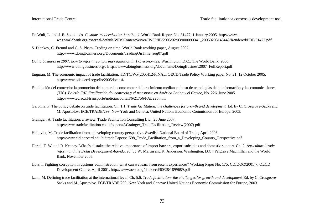- De Wulf, L. and J. B. Sokol, eds. *Customs modernization handbook.* World Bank Report No. 31477, 1 January 2005. http://wwwwds.worldbank.org/external/default/WDSContentServer/IW3P/IB/2005/02/03/000090341\_20050203145443/Rendered/PDF/31477.pdf
- S. Djankov, C. Freund and C. S. Pham. Trading on time. World Bank working paper, August 2007. http://www.doingbusiness.org/Documents/TradingOnTime\_aug07.pdf
- *Doing business in 2007: how to reform: comparing regulation in 175 economies.* Washington, D.C.: The World Bank, 2006. http://www.doingbusiness.org/, http://www.doingbusiness.org/documents/DoingBusiness2007\_FullReport.pdf
- Engman, M. The economic impact of trade facilitation. TD/TC/WP(2005)12/FINAL. OECD Trade Policy Working paper No. 21, 12 October 2005. http://www.olis.oecd.org/olis/2005doc.nsf/
- Facilitación del comercio: la promoción del comercio como motor del crecimiento mediante el uso de tecnologías de la información y las comunicaciones (TIC). *Boletín FAL Facilitación del comercio y el transporte en América Latina y el Caribe,* No. 226, June 2005. http://www.eclac.cl/transporte/noticias/bolfall/6/21756/FAL226.htm
- Garonna, P. The policy debate on trade facilitation. Ch. 1.1, *Trade facilitation: the challenges for growth and development*. Ed. by C. Crosgrove-Sacks and M. Apostolov. ECE/TRADE/299. New York and Geneva: United Nations Economic Commission for Europe, 2003.
- Grainger, A. Trade facilitation: a review. Trade Facilitation Consulting Ltd., 25 June 2007. http://www.tradefacilitation.co.uk/papers/AGrainger\_TradeFacilitation\_Review(2007).pdf
- Hellqvist, M. Trade facilitation from a developing country perspective. Swedish National Board of Trade, April 2003. http://www.cid.harvard.edu/cidtrade/Papers/1598\_Trade\_Facilitation\_from\_a\_Developing\_Country\_Perspective.pdf
- Hertel, T. W. and R. Keeney. What's at stake: the relative importance of import barriers, export subsidies and domestic support. Ch. 2, *Agricultural trade reform and the Doha Development Agenda*, ed. by W. Martin and K. Anderson. Washington, D.C.: Palgrave Macmillan and the World Bank, November 2005.
- Hors, I. Fighting corruption in customs administration: what can we learn from recent experiences? Working Paper No. 175. CD/DOC(2001)7, OECD Development Centre, April 2001. http://www.oecd.org/dataoecd/60/28/1899689.pdf
- Izam, M. Defining trade facilitation at the international level. Ch. 5.6, *Trade facilitation: the challenges for growth and development*. Ed. by C. Crosgrove-Sacks and M. Apostolov. ECE/TRADE/299. New York and Geneva: United Nations Economic Commission for Europe, 2003.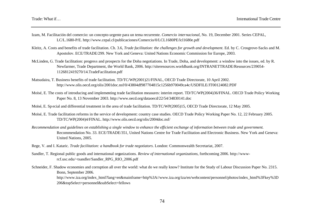- Izam, M. Facilitación del comercio: un concepto urgente para un tema recurrente. *Comercio internacional*, No. 19, December 2001. Series CEPAL, LC/L.1680-P/E. http://www.cepal.cl/publicaciones/Comercio/0/LCL1680PE/lcl1680e.pdf
- Kleitz, A. Costs and benefits of trade facilitation. Ch. 3.6, *Trade facilitation: the challenges for growth and development*. Ed. by C. Crosgrove-Sacks and M. Apostolov. ECE/TRADE/299. New York and Geneva: United Nations Economic Commission for Europe, 2003.
- McLinden, G. Trade facilitation: progress and prospects for the Doha negotiations. In Trade, Doha, and development: a window into the issues, ed. by R. Newfarmer, Trade Department, the World Bank, 2006. http://siteresources.worldbank.org/INTRANETTRADE/Resources/239054- 1126812419270/14.TradeFacilitation.pdf
- Matsudaira, T. Business benefits of trade facilitation. TD/TC/WP(2001)21/FINAL, OECD Trade Directorate, 10 April 2002. http://www.olis.oecd.org/olis/2001doc.nsf/0/43804df987704815c1256b970049ca4c/USDFILE/JT00124082.PDF
- Moïsé, E. The costs of introducing and implementing trade facilitation measures: interim report. TD/TC/WP(2004)36/FINAL. OECD Trade Policy Working Paper No. 8, 13 November 2003. http://www.oecd.org/dataoecd/22/54/34830141.doc
- Moïsé, E. Sp ecial and differential treatment in the area of trade facilitation. TD/TC/WP(2005)15, OECD Trade Directorate, 12 May 2005.
- Moïsé, E. Trade facilitation reforms in the service of development: country case studies. OECD Trade Policy Working Paper No. 12, 22 February 2005. TD/TC/WP(2004)4/FINAL. http://www.olis.oecd.org/olis/2004doc.nsf/
- *Recommendation and guidelines on establishing a single window to enhance the efficient exchange of information between trade and government.*  Recommendation No. 33. ECE/TRADE/351, United Nations Centre for Trade Facilitation and Electronic Business. New York and Geneva: United Nations, 2005.
- Rege, V. and I. Kataric. *Trade facilitation: a handbook for trade negotiators*. London: Commonwealth Secretariat, 2007.
- Sandler, T. Regional public goods and international organizations. *Review of international organizations*, forthcoming 2006. http://wwwrcf.usc.edu/~tsandler/Sandler\_RPG\_RIO\_2006.pdf
- Schneider, F. Shadow economies and corruption all over the world: what do we really know? Institute for the Study of Labour Discussion Paper No. 2315. Bonn, September 2006. http://www.iza.org/index\_html?lang=en&mainframe=http%3A//www.iza.org/iza/en/webcontent/personnel/photos/index\_html%3Fkey%3D 206&topSelect=personnel&subSelect=fellows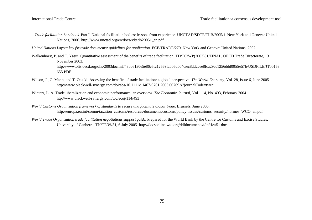*– Trade facilitation handbook.* Part I, National facilitation bodies: lessons from experience. UNCTAD/SDTE/TLB/2005/1. New York and Geneva: United Nations, 2006. http://www.unctad.org/en/docs/sdtetlb20051\_en.pdf

*United Nations Layout key for trade documents: guidelines for application*. ECE/TRADE/270. New York and Geneva: United Nations, 2002.

- Walkenhorst, P. and T. Yasui. Quantitative assessment of the benefits of trade facilitation. TD/TC/WP(2003)31/FINAL, OECD Trade Directorate, 13 November 2003. http://www.olis.oecd.org/olis/2003doc.nsf/43bb6130e5e86e5fc12569fa005d004c/ec8dd2cee8fca29ac1256ddd0055e57b/USDFILE/JT00153 655.PDF
- Wilson, J., C. Mann, and T. Otsuki. Assessing the benefits of trade facilitation: a global perspective. *The World Economy*, Vol. 28, Issue 6, June 2005. http://www.blackwell-synergy.com/doi/abs/10.1111/j.1467-9701.2005.00709.x?journalCode=twec
- Winters, L. A. Trade liberalization and economic performance: an overview. *The Economic Journal,* Vol. 114, No. 493, February 2004. htp://www.blackwell-synergy.com/toc/ecoj/114/493
- *World Customs Organization framework of standards to secure and facilitate global trade*. Brussels: June 2005. http://europa.eu.int/comm/taxation\_customs/resources/documents/customs/policy\_issues/customs\_security/normes\_WCO\_en.pdf
- *World Trade Organization trade facilitation negotiations support guide*. Prepared for the World Bank by the Centre for Customs and Excise Studies, University of Canberra. TN/TF/W/51, 6 July 2005. http://docsonline.wto.org/ddfdocuments/t/tn/tf/w51.doc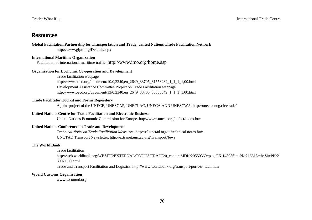# **Resources**

**Global Facilitation Partnership for Transportation and Trade, United Nations Trade Facilitation Network** http://www.gfptt.org/Default.aspx

# **International Maritime Organization**

Facilitation of international maritime traffic. http://www.imo.org/home.asp

## **Organisation for Economic Co-operation and Development**

Trade facilitation webpage http://www.oecd.org/document/10/0,2340,en\_2649\_33705\_31558282\_1\_1\_1\_1,00.html Development Assistance Committee Project on Trade Facilitation webpage http://www.oecd.org/document/13/0,2340,en\_2649\_33705\_35305549\_1\_1\_1\_1,00.html

## **Trade Facilitator Toolkit and Forms Repository**

A joint project of the UNECE, UNESCAP, UNECLAC, UNECA AND UNESCWA. http://unece.unog.ch/etrade/

#### **United Nations Centre for Trade Facilitation and Electronic Business**

United Nations Economic Commission for Europe. http://www.unece.org/cefact/index.htm

## **United Nations Conference on Trade and Development**

*Technical Notes on Trade Facilitation Measures*. http://r0.unctad.org/ttl/technical-notes.htm UNCTAD Transport Newsletter. http://extranet.unctad.org/TransportNews

#### **The World Bank**

Trade facilitation

http://web.worldbank.org/WBSITE/EXTERNAL/TOPICS/TRADE/0,,contentMDK:20550369~pagePK:148956~piPK:216618~theSitePK:2 39071,00.html

Trade and Transport Facilitation and Logistics. http://www.worldbank.org/transport/ports/tr\_facil.htm

#### **World Customs Organization**

www.wcoomd.org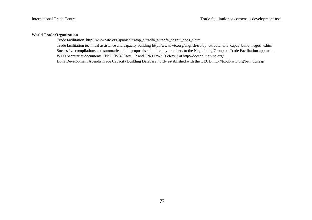## **World Trade Organization**

Trade facilitation. http://www.wto.org/spanish/tratop\_s/tradfa\_s/tradfa\_negoti\_docs\_s.htm Trade facilitation technical assistance and capacity building http://www.wto.org/english/tratop\_e/tradfa\_e/ta\_capac\_build\_negoti\_e.htm Successive compilations and summaries of all proposals submitted by members to the Negotiating Group on Trade Facilitation appear in WTO Secretariat documents TN/TF/W/43/Rev. 12 and TN/TF/W/106/Rev.7 at http://docsonline.wto.org/ Doha Development Agenda Trade Capacity Building Database, joitly established with the OECD http://tcbdb.wto.org/ben\_dcs.asp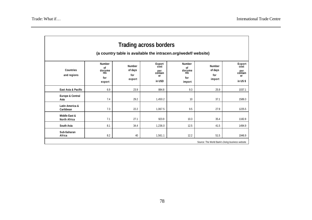| <b>Trading across borders</b><br>(a country table is available the intracen.org/wedef/ website) |                                                       |                                           |                                                  |                                                       |                                           |                                                   |
|-------------------------------------------------------------------------------------------------|-------------------------------------------------------|-------------------------------------------|--------------------------------------------------|-------------------------------------------------------|-------------------------------------------|---------------------------------------------------|
| Countries<br>and regions                                                                        | <b>Number</b><br>of<br>docume<br>nts<br>for<br>export | <b>Number</b><br>of days<br>for<br>export | Export<br>cost<br>per<br>contain<br>er<br>in USD | <b>Number</b><br>of<br>docume<br>nts<br>for<br>import | <b>Number</b><br>of days<br>for<br>import | Export<br>cost<br>per<br>contain<br>er<br>in US\$ |
| East Asia & Pacific                                                                             | 6.9                                                   | 23.9                                      | 884.8                                            | 9.3                                                   | 25.9                                      | 1037.1                                            |
| Europe & Central<br>Asia                                                                        | 7.4                                                   | 29.2                                      | 1,450.2                                          | 10                                                    | 37.1                                      | 1589.3                                            |
| Latin America &<br>Caribbean                                                                    | 7.3                                                   | 22.2                                      | 1.067.5                                          | 9.5                                                   | 27.9                                      | 1225.5                                            |
| Middle East &<br>North Africa                                                                   | 7.1                                                   | 27.1                                      | 923.9                                            | 10.3                                                  | 35.4                                      | 1182.8                                            |
| South Asia                                                                                      | 8.1                                                   | 34.4                                      | 1,236.0                                          | 12.5                                                  | 41.5                                      | 1494.9                                            |
| Sub-Saharan<br>Africa                                                                           | 8.2                                                   | 40                                        | 1,561.1                                          | 12.2                                                  | 51.5                                      | 1946.9                                            |
| Source: The World Bank's Doing business website                                                 |                                                       |                                           |                                                  |                                                       |                                           |                                                   |